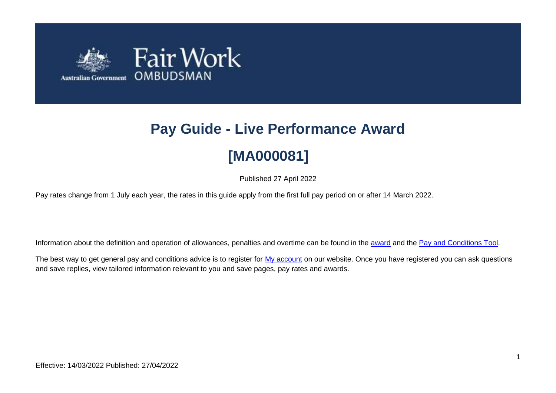

# **Pay Guide - Live Performance Award**

## **[MA000081]**

Published 27 April 2022

Pay rates change from 1 July each year, the rates in this guide apply from the first full pay period on or after 14 March 2022.

Information about the definition and operation of allowances, penalties and overtime can be found in the [award](https://www.fairwork.gov.au/awards-and-agreements/awards/list-of-awards) and the [Pay and Conditions Tool.](https://calculate.fairwork.gov.au/)

The best way to get general pay and conditions advice is to register for [My account](https://www.fairwork.gov.au/my-account/registerpage.aspx) on our website. Once you have registered you can ask questions and save replies, view tailored information relevant to you and save pages, pay rates and awards.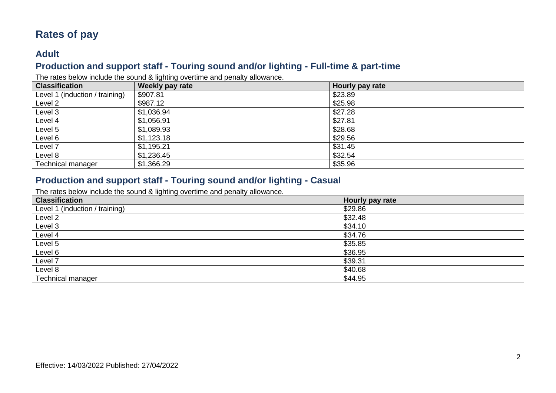## **Rates of pay**

### **Adult**

## **Production and support staff - Touring sound and/or lighting - Full-time & part-time**

The rates below include the sound & lighting overtime and penalty allowance.

| <b>Classification</b>          | ີ<br>Weekly pay rate | Hourly pay rate |
|--------------------------------|----------------------|-----------------|
| Level 1 (induction / training) | \$907.81             | \$23.89         |
| Level <sub>2</sub>             | \$987.12             | \$25.98         |
| Level 3                        | \$1,036.94           | \$27.28         |
| Level 4                        | \$1,056.91           | \$27.81         |
| Level 5                        | \$1,089.93           | \$28.68         |
| Level 6                        | \$1,123.18           | \$29.56         |
| Level 7                        | \$1,195.21           | \$31.45         |
| Level 8                        | \$1,236.45           | \$32.54         |
| <b>Technical manager</b>       | \$1,366.29           | \$35.96         |

#### **Production and support staff - Touring sound and/or lighting - Casual**

The rates below include the sound & lighting overtime and penalty allowance.

| <b>Classification</b>          | Hourly pay rate |
|--------------------------------|-----------------|
| Level 1 (induction / training) | \$29.86         |
| Level 2                        | \$32.48         |
| Level 3                        | \$34.10         |
| Level 4                        | \$34.76         |
| Level 5                        | \$35.85         |
| Level 6                        | \$36.95         |
| Level 7                        | \$39.31         |
| Level 8                        | \$40.68         |
| <b>Technical manager</b>       | \$44.95         |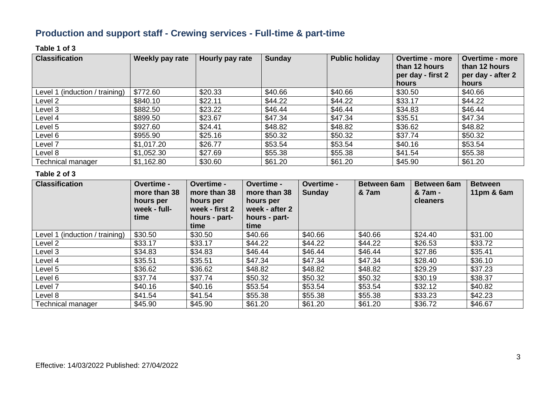## **Production and support staff - Crewing services - Full-time & part-time**

#### **Table 1 of 3**

| <b>Classification</b>          | Weekly pay rate | Hourly pay rate | <b>Sunday</b> | <b>Public holiday</b> | <b>Overtime - more</b><br>than 12 hours<br>per day - first 2<br>hours | <b>Overtime - more</b><br>than 12 hours<br>per day - after 2<br>hours |
|--------------------------------|-----------------|-----------------|---------------|-----------------------|-----------------------------------------------------------------------|-----------------------------------------------------------------------|
| Level 1 (induction / training) | \$772.60        | \$20.33         | \$40.66       | \$40.66               | \$30.50                                                               | \$40.66                                                               |
| Level 2                        | \$840.10        | \$22.11         | \$44.22       | \$44.22               | \$33.17                                                               | \$44.22                                                               |
| Level 3                        | \$882.50        | \$23.22         | \$46.44       | \$46.44               | \$34.83                                                               | \$46.44                                                               |
| Level 4                        | \$899.50        | \$23.67         | \$47.34       | \$47.34               | \$35.51                                                               | \$47.34                                                               |
| Level 5                        | \$927.60        | \$24.41         | \$48.82       | \$48.82               | \$36.62                                                               | \$48.82                                                               |
| Level 6                        | \$955.90        | \$25.16         | \$50.32       | \$50.32               | \$37.74                                                               | \$50.32                                                               |
| Level 7                        | \$1,017.20      | \$26.77         | \$53.54       | \$53.54               | \$40.16                                                               | \$53.54                                                               |
| Level 8                        | \$1,052.30      | \$27.69         | \$55.38       | \$55.38               | \$41.54                                                               | \$55.38                                                               |
| Technical manager              | \$1,162.80      | \$30.60         | \$61.20       | \$61.20               | \$45.90                                                               | \$61.20                                                               |

| <b>Classification</b>          | Overtime -<br>more than 38<br>hours per<br>week - full-<br>time | Overtime -<br>more than 38<br>hours per<br>week - first 2<br>hours - part-<br>time | <b>Overtime -</b><br>more than 38<br>hours per<br>week - after 2<br>hours - part-<br>time | Overtime -<br><b>Sunday</b> | <b>Between 6am</b><br><b>&amp; 7am</b> | <b>Between 6am</b><br>& 7am -<br>cleaners | <b>Between</b><br>11 $pm$ & 6 $am$ |
|--------------------------------|-----------------------------------------------------------------|------------------------------------------------------------------------------------|-------------------------------------------------------------------------------------------|-----------------------------|----------------------------------------|-------------------------------------------|------------------------------------|
| Level 1 (induction / training) | \$30.50                                                         | \$30.50                                                                            | \$40.66                                                                                   | \$40.66                     | \$40.66                                | \$24.40                                   | \$31.00                            |
| Level 2                        | \$33.17                                                         | \$33.17                                                                            | \$44.22                                                                                   | \$44.22                     | \$44.22                                | \$26.53                                   | \$33.72                            |
| Level 3                        | \$34.83                                                         | \$34.83                                                                            | \$46.44                                                                                   | \$46.44                     | \$46.44                                | \$27.86                                   | \$35.41                            |
| Level 4                        | \$35.51                                                         | \$35.51                                                                            | \$47.34                                                                                   | \$47.34                     | \$47.34                                | \$28.40                                   | \$36.10                            |
| Level 5                        | \$36.62                                                         | \$36.62                                                                            | \$48.82                                                                                   | \$48.82                     | \$48.82                                | \$29.29                                   | \$37.23                            |
| Level 6                        | \$37.74                                                         | \$37.74                                                                            | \$50.32                                                                                   | \$50.32                     | \$50.32                                | \$30.19                                   | \$38.37                            |
| Level <sub>7</sub>             | \$40.16                                                         | \$40.16                                                                            | \$53.54                                                                                   | \$53.54                     | \$53.54                                | \$32.12                                   | \$40.82                            |
| Level 8                        | \$41.54                                                         | \$41.54                                                                            | \$55.38                                                                                   | \$55.38                     | \$55.38                                | \$33.23                                   | \$42.23                            |
| <b>Technical manager</b>       | \$45.90                                                         | \$45.90                                                                            | \$61.20                                                                                   | \$61.20                     | \$61.20                                | \$36.72                                   | \$46.67                            |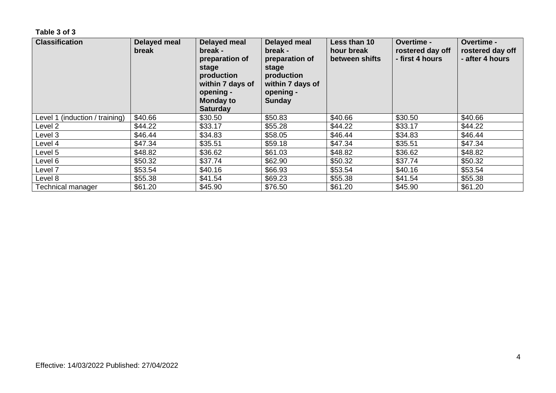| <b>Classification</b>          | Delayed meal<br>break | Delayed meal<br>break -<br>preparation of<br>stage<br>production<br>within 7 days of<br>opening -<br><b>Monday to</b><br><b>Saturday</b> | Delayed meal<br>break -<br>preparation of<br>stage<br>production<br>within 7 days of<br>opening -<br><b>Sunday</b> | Less than 10<br>hour break<br>between shifts | <b>Overtime -</b><br>rostered day off<br>- first 4 hours | Overtime -<br>rostered day off<br>- after 4 hours |
|--------------------------------|-----------------------|------------------------------------------------------------------------------------------------------------------------------------------|--------------------------------------------------------------------------------------------------------------------|----------------------------------------------|----------------------------------------------------------|---------------------------------------------------|
| Level 1 (induction / training) | \$40.66               | \$30.50                                                                                                                                  | \$50.83                                                                                                            | \$40.66                                      | \$30.50                                                  | \$40.66                                           |
| Level 2                        | \$44.22               | \$33.17                                                                                                                                  | \$55.28                                                                                                            | \$44.22                                      | \$33.17                                                  | \$44.22                                           |
| Level 3                        | \$46.44               | \$34.83                                                                                                                                  | \$58.05                                                                                                            | \$46.44                                      | \$34.83                                                  | \$46.44                                           |
| Level 4                        | \$47.34               | \$35.51                                                                                                                                  | \$59.18                                                                                                            | \$47.34                                      | \$35.51                                                  | \$47.34                                           |
| Level 5                        | \$48.82               | \$36.62                                                                                                                                  | \$61.03                                                                                                            | \$48.82                                      | \$36.62                                                  | \$48.82                                           |
| Level 6                        | \$50.32               | \$37.74                                                                                                                                  | \$62.90                                                                                                            | \$50.32                                      | \$37.74                                                  | \$50.32                                           |
| Level <sub>7</sub>             | \$53.54               | \$40.16                                                                                                                                  | \$66.93                                                                                                            | \$53.54                                      | \$40.16                                                  | \$53.54                                           |
| Level 8                        | \$55.38               | \$41.54                                                                                                                                  | \$69.23                                                                                                            | \$55.38                                      | \$41.54                                                  | \$55.38                                           |
| Technical manager              | \$61.20               | \$45.90                                                                                                                                  | \$76.50                                                                                                            | \$61.20                                      | \$45.90                                                  | \$61.20                                           |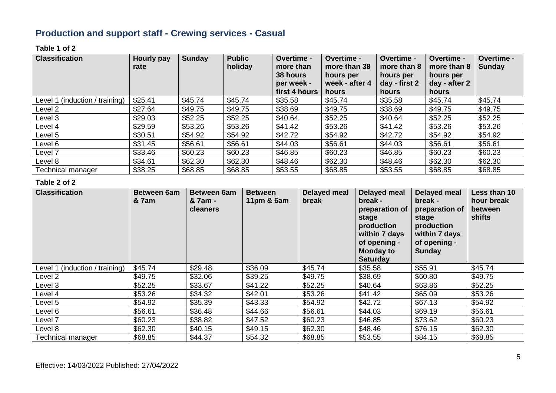## **Production and support staff - Crewing services - Casual**

#### **Table 1 of 2**

| <b>Classification</b>          | Hourly pay<br>rate | <b>Sunday</b> | <b>Public</b><br>holiday | Overtime -<br>more than<br>38 hours<br>per week -<br>first 4 hours | Overtime -<br>more than 38<br>hours per<br>week - after 4<br>hours | <b>Overtime -</b><br>more than 8<br>hours per<br>day - first 2<br>hours | <b>Overtime -</b><br>more than 8<br>hours per<br>day - after 2<br>hours | Overtime -<br><b>Sunday</b> |
|--------------------------------|--------------------|---------------|--------------------------|--------------------------------------------------------------------|--------------------------------------------------------------------|-------------------------------------------------------------------------|-------------------------------------------------------------------------|-----------------------------|
| Level 1 (induction / training) | \$25.41            | \$45.74       | \$45.74                  | \$35.58                                                            | \$45.74                                                            | \$35.58                                                                 | \$45.74                                                                 | \$45.74                     |
| Level 2                        | \$27.64            | \$49.75       | \$49.75                  | \$38.69                                                            | \$49.75                                                            | \$38.69                                                                 | \$49.75                                                                 | \$49.75                     |
| Level 3                        | \$29.03            | \$52.25       | \$52.25                  | \$40.64                                                            | \$52.25                                                            | \$40.64                                                                 | \$52.25                                                                 | \$52.25                     |
| Level 4                        | \$29.59            | \$53.26       | \$53.26                  | \$41.42                                                            | \$53.26                                                            | \$41.42                                                                 | \$53.26                                                                 | \$53.26                     |
| Level 5                        | \$30.51            | \$54.92       | \$54.92                  | \$42.72                                                            | \$54.92                                                            | \$42.72                                                                 | \$54.92                                                                 | \$54.92                     |
| Level 6                        | \$31.45            | \$56.61       | \$56.61                  | \$44.03                                                            | \$56.61                                                            | \$44.03                                                                 | \$56.61                                                                 | \$56.61                     |
| Level 7                        | \$33.46            | \$60.23       | \$60.23                  | \$46.85                                                            | \$60.23                                                            | \$46.85                                                                 | \$60.23                                                                 | \$60.23                     |
| Level 8                        | \$34.61            | \$62.30       | \$62.30                  | \$48.46                                                            | \$62.30                                                            | \$48.46                                                                 | \$62.30                                                                 | \$62.30                     |
| <b>Technical manager</b>       | \$38.25            | \$68.85       | \$68.85                  | \$53.55                                                            | \$68.85                                                            | \$53.55                                                                 | \$68.85                                                                 | \$68.85                     |

| <b>Classification</b>          | Between 6am<br>& 7am | <b>Between 6am</b><br>& 7am -<br><b>cleaners</b> | <b>Between</b><br>11pm $& 6am$ | Delayed meal<br>break | <b>Delayed meal</b><br>break -<br>preparation of<br>stage<br>production<br>within 7 days<br>of opening -<br><b>Monday to</b><br><b>Saturday</b> | <b>Delayed meal</b><br>break -<br>preparation of<br>stage<br>production<br>within 7 days<br>of opening -<br><b>Sunday</b> | Less than 10<br>hour break<br>between<br>shifts |
|--------------------------------|----------------------|--------------------------------------------------|--------------------------------|-----------------------|-------------------------------------------------------------------------------------------------------------------------------------------------|---------------------------------------------------------------------------------------------------------------------------|-------------------------------------------------|
| Level 1 (induction / training) | \$45.74              | \$29.48                                          | \$36.09                        | \$45.74               | \$35.58                                                                                                                                         | \$55.91                                                                                                                   | \$45.74                                         |
| Level 2                        | \$49.75              | \$32.06                                          | \$39.25                        | \$49.75               | \$38.69                                                                                                                                         | \$60.80                                                                                                                   | \$49.75                                         |
| Level 3                        | \$52.25              | \$33.67                                          | \$41.22                        | \$52.25               | \$40.64                                                                                                                                         | \$63.86                                                                                                                   | \$52.25                                         |
| Level 4                        | \$53.26              | \$34.32                                          | \$42.01                        | \$53.26               | \$41.42                                                                                                                                         | \$65.09                                                                                                                   | \$53.26                                         |
| Level 5                        | \$54.92              | \$35.39                                          | \$43.33                        | \$54.92               | \$42.72                                                                                                                                         | \$67.13                                                                                                                   | \$54.92                                         |
| Level 6                        | \$56.61              | \$36.48                                          | \$44.66                        | \$56.61               | \$44.03                                                                                                                                         | \$69.19                                                                                                                   | \$56.61                                         |
| Level 7                        | \$60.23              | \$38.82                                          | \$47.52                        | \$60.23               | \$46.85                                                                                                                                         | \$73.62                                                                                                                   | \$60.23                                         |
| Level 8                        | \$62.30              | \$40.15                                          | \$49.15                        | \$62.30               | \$48.46                                                                                                                                         | \$76.15                                                                                                                   | \$62.30                                         |
| <b>Technical manager</b>       | \$68.85              | \$44.37                                          | \$54.32                        | \$68.85               | \$53.55                                                                                                                                         | \$84.15                                                                                                                   | \$68.85                                         |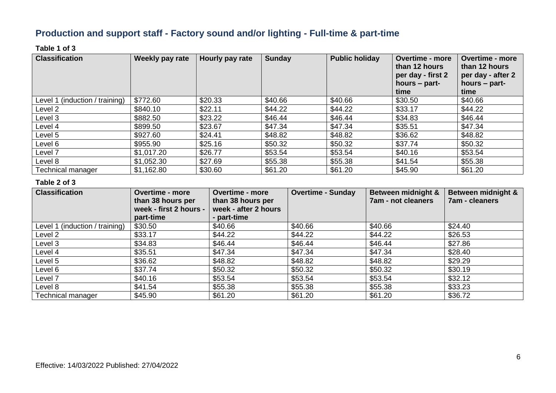## **Production and support staff - Factory sound and/or lighting - Full-time & part-time**

#### **Table 1 of 3**

| <b>Classification</b>          | <b>Weekly pay rate</b> | Hourly pay rate | <b>Sunday</b> | <b>Public holiday</b> | <b>Overtime - more</b><br>than 12 hours<br>per day - first 2<br>hours $-$ part-<br>time | <b>Overtime - more</b><br>than 12 hours<br>per day - after 2<br>hours – part-<br>time |
|--------------------------------|------------------------|-----------------|---------------|-----------------------|-----------------------------------------------------------------------------------------|---------------------------------------------------------------------------------------|
| Level 1 (induction / training) | \$772.60               | \$20.33         | \$40.66       | \$40.66               | \$30.50                                                                                 | \$40.66                                                                               |
| Level 2                        | \$840.10               | \$22.11         | \$44.22       | \$44.22               | \$33.17                                                                                 | \$44.22                                                                               |
| Level 3                        | \$882.50               | \$23.22         | \$46.44       | \$46.44               | \$34.83                                                                                 | \$46.44                                                                               |
| Level 4                        | \$899.50               | \$23.67         | \$47.34       | \$47.34               | \$35.51                                                                                 | \$47.34                                                                               |
| Level 5                        | \$927.60               | \$24.41         | \$48.82       | \$48.82               | \$36.62                                                                                 | \$48.82                                                                               |
| Level 6                        | \$955.90               | \$25.16         | \$50.32       | \$50.32               | \$37.74                                                                                 | \$50.32                                                                               |
| Level 7                        | \$1,017.20             | \$26.77         | \$53.54       | \$53.54               | \$40.16                                                                                 | \$53.54                                                                               |
| Level 8                        | \$1,052.30             | \$27.69         | \$55.38       | \$55.38               | \$41.54                                                                                 | \$55.38                                                                               |
| <b>Technical manager</b>       | \$1,162.80             | \$30.60         | \$61.20       | \$61.20               | \$45.90                                                                                 | \$61.20                                                                               |

| <b>Classification</b>          | <b>Overtime - more</b><br>than 38 hours per<br>week - first 2 hours -<br>part-time | <b>Overtime - more</b><br>than 38 hours per<br>week - after 2 hours<br>- part-time | <b>Overtime - Sunday</b> | Between midnight &<br><b>7am - not cleaners</b> | Between midnight &<br><b>7am - cleaners</b> |
|--------------------------------|------------------------------------------------------------------------------------|------------------------------------------------------------------------------------|--------------------------|-------------------------------------------------|---------------------------------------------|
| Level 1 (induction / training) | \$30.50                                                                            | \$40.66                                                                            | \$40.66                  | \$40.66                                         | \$24.40                                     |
| Level 2                        | \$33.17                                                                            | \$44.22                                                                            | \$44.22                  | \$44.22                                         | \$26.53                                     |
| Level 3                        | \$34.83                                                                            | \$46.44                                                                            | \$46.44                  | \$46.44                                         | \$27.86                                     |
| Level 4                        | \$35.51                                                                            | \$47.34                                                                            | \$47.34                  | \$47.34                                         | \$28.40                                     |
| Level 5                        | \$36.62                                                                            | \$48.82                                                                            | \$48.82                  | \$48.82                                         | \$29.29                                     |
| Level 6                        | \$37.74                                                                            | \$50.32                                                                            | \$50.32                  | \$50.32                                         | \$30.19                                     |
| Level 7                        | \$40.16                                                                            | \$53.54                                                                            | \$53.54                  | \$53.54                                         | \$32.12                                     |
| Level 8                        | \$41.54                                                                            | \$55.38                                                                            | \$55.38                  | \$55.38                                         | \$33.23                                     |
| <b>Technical manager</b>       | \$45.90                                                                            | \$61.20                                                                            | \$61.20                  | \$61.20                                         | \$36.72                                     |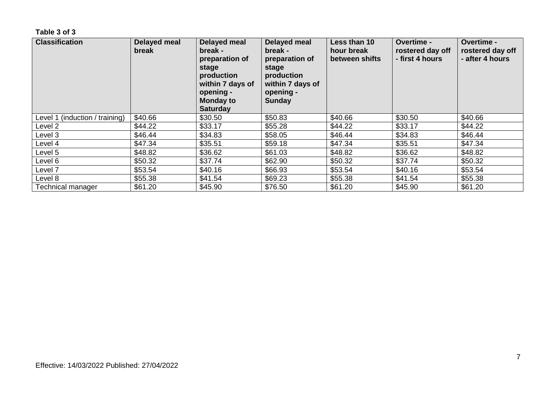| <b>Classification</b>          | Delayed meal<br>break | Delayed meal<br>break -<br>preparation of<br>stage<br>production<br>within 7 days of<br>opening -<br><b>Monday to</b><br><b>Saturday</b> | Delayed meal<br>break -<br>preparation of<br>stage<br>production<br>within 7 days of<br>opening -<br><b>Sunday</b> | Less than 10<br>hour break<br>between shifts | <b>Overtime -</b><br>rostered day off<br>- first 4 hours | Overtime -<br>rostered day off<br>- after 4 hours |
|--------------------------------|-----------------------|------------------------------------------------------------------------------------------------------------------------------------------|--------------------------------------------------------------------------------------------------------------------|----------------------------------------------|----------------------------------------------------------|---------------------------------------------------|
| Level 1 (induction / training) | \$40.66               | \$30.50                                                                                                                                  | \$50.83                                                                                                            | \$40.66                                      | \$30.50                                                  | \$40.66                                           |
| Level 2                        | \$44.22               | \$33.17                                                                                                                                  | \$55.28                                                                                                            | \$44.22                                      | \$33.17                                                  | \$44.22                                           |
| Level 3                        | \$46.44               | \$34.83                                                                                                                                  | \$58.05                                                                                                            | \$46.44                                      | \$34.83                                                  | \$46.44                                           |
| Level 4                        | \$47.34               | \$35.51                                                                                                                                  | \$59.18                                                                                                            | \$47.34                                      | \$35.51                                                  | \$47.34                                           |
| Level 5                        | \$48.82               | \$36.62                                                                                                                                  | \$61.03                                                                                                            | \$48.82                                      | \$36.62                                                  | \$48.82                                           |
| Level 6                        | \$50.32               | \$37.74                                                                                                                                  | \$62.90                                                                                                            | \$50.32                                      | \$37.74                                                  | \$50.32                                           |
| Level <sub>7</sub>             | \$53.54               | \$40.16                                                                                                                                  | \$66.93                                                                                                            | \$53.54                                      | \$40.16                                                  | \$53.54                                           |
| Level 8                        | \$55.38               | \$41.54                                                                                                                                  | \$69.23                                                                                                            | \$55.38                                      | \$41.54                                                  | \$55.38                                           |
| Technical manager              | \$61.20               | \$45.90                                                                                                                                  | \$76.50                                                                                                            | \$61.20                                      | \$45.90                                                  | \$61.20                                           |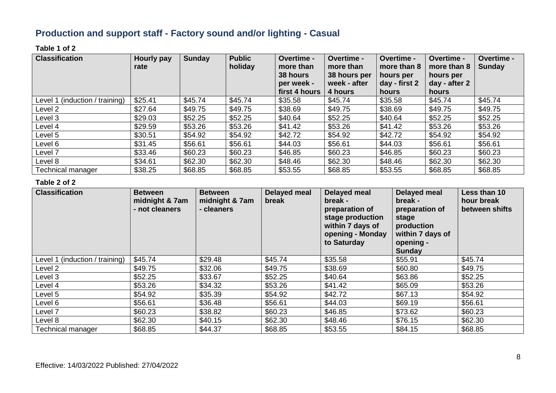## **Production and support staff - Factory sound and/or lighting - Casual**

#### **Table 1 of 2**

| <b>Classification</b>          | Hourly pay<br>rate | <b>Sunday</b> | <b>Public</b><br>holiday | <b>Overtime -</b><br>more than<br>38 hours<br>per week -<br>first 4 hours | Overtime -<br>more than<br>38 hours per<br>week - after<br>4 hours | Overtime -<br>more than 8<br>hours per<br>day - first 2<br>hours | Overtime -<br>more than 8<br>hours per<br>day - after 2<br>hours | Overtime -<br><b>Sunday</b> |
|--------------------------------|--------------------|---------------|--------------------------|---------------------------------------------------------------------------|--------------------------------------------------------------------|------------------------------------------------------------------|------------------------------------------------------------------|-----------------------------|
| Level 1 (induction / training) | \$25.41            | \$45.74       | \$45.74                  | \$35.58                                                                   | \$45.74                                                            | \$35.58                                                          | \$45.74                                                          | \$45.74                     |
| Level 2                        | \$27.64            | \$49.75       | \$49.75                  | \$38.69                                                                   | \$49.75                                                            | \$38.69                                                          | \$49.75                                                          | \$49.75                     |
| Level 3                        | \$29.03            | \$52.25       | \$52.25                  | \$40.64                                                                   | \$52.25                                                            | \$40.64                                                          | \$52.25                                                          | \$52.25                     |
| Level 4                        | \$29.59            | \$53.26       | \$53.26                  | \$41.42                                                                   | \$53.26                                                            | \$41.42                                                          | \$53.26                                                          | \$53.26                     |
| Level 5                        | \$30.51            | \$54.92       | \$54.92                  | \$42.72                                                                   | \$54.92                                                            | \$42.72                                                          | \$54.92                                                          | \$54.92                     |
| Level 6                        | \$31.45            | \$56.61       | \$56.61                  | \$44.03                                                                   | \$56.61                                                            | \$44.03                                                          | \$56.61                                                          | \$56.61                     |
| Level <sub>7</sub>             | \$33.46            | \$60.23       | \$60.23                  | \$46.85                                                                   | \$60.23                                                            | \$46.85                                                          | \$60.23                                                          | \$60.23                     |
| Level 8                        | \$34.61            | \$62.30       | \$62.30                  | \$48.46                                                                   | \$62.30                                                            | \$48.46                                                          | \$62.30                                                          | \$62.30                     |
| <b>Technical manager</b>       | \$38.25            | \$68.85       | \$68.85                  | \$53.55                                                                   | \$68.85                                                            | \$53.55                                                          | \$68.85                                                          | \$68.85                     |

| <b>Classification</b>          | <b>Between</b><br>midnight & 7am<br>- not cleaners | <b>Between</b><br>midnight & 7am<br>- cleaners | Delayed meal<br>break | Delayed meal<br>break -<br>preparation of<br>stage production<br>within 7 days of<br>opening - Monday<br>to Saturday | <b>Delayed meal</b><br>break -<br>preparation of<br>stage<br>production<br>within 7 days of<br>opening -<br>Sunday | Less than 10<br>hour break<br>between shifts |
|--------------------------------|----------------------------------------------------|------------------------------------------------|-----------------------|----------------------------------------------------------------------------------------------------------------------|--------------------------------------------------------------------------------------------------------------------|----------------------------------------------|
| Level 1 (induction / training) | \$45.74                                            | \$29.48                                        | \$45.74               | \$35.58                                                                                                              | \$55.91                                                                                                            | \$45.74                                      |
| Level 2                        | \$49.75                                            | \$32.06                                        | \$49.75               | \$38.69                                                                                                              | \$60.80                                                                                                            | \$49.75                                      |
| Level 3                        | \$52.25                                            | \$33.67                                        | \$52.25               | \$40.64                                                                                                              | \$63.86                                                                                                            | \$52.25                                      |
| Level 4                        | \$53.26                                            | \$34.32                                        | \$53.26               | \$41.42                                                                                                              | \$65.09                                                                                                            | \$53.26                                      |
| Level 5                        | \$54.92                                            | \$35.39                                        | \$54.92               | \$42.72                                                                                                              | \$67.13                                                                                                            | \$54.92                                      |
| Level 6                        | \$56.61                                            | \$36.48                                        | \$56.61               | \$44.03                                                                                                              | \$69.19                                                                                                            | \$56.61                                      |
| Level 7                        | \$60.23                                            | \$38.82                                        | \$60.23               | \$46.85                                                                                                              | \$73.62                                                                                                            | \$60.23                                      |
| Level 8                        | \$62.30                                            | \$40.15                                        | \$62.30               | \$48.46                                                                                                              | \$76.15                                                                                                            | \$62.30                                      |
| Technical manager              | \$68.85                                            | \$44.37                                        | \$68.85               | \$53.55                                                                                                              | \$84.15                                                                                                            | \$68.85                                      |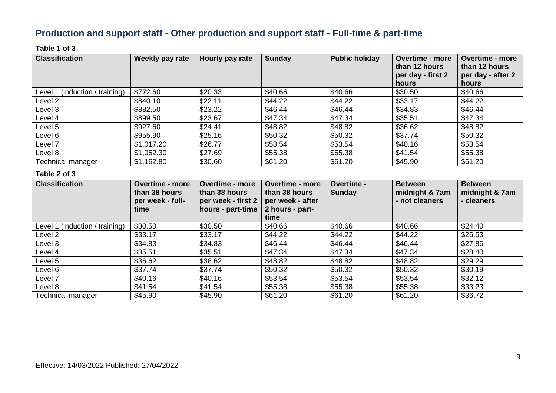## **Production and support staff - Other production and support staff - Full-time & part-time**

#### **Table 1 of 3**

| <b>Classification</b>          | Weekly pay rate | Hourly pay rate | <b>Sunday</b> | <b>Public holiday</b> | <b>Overtime - more</b><br>than 12 hours<br>per day - first 2<br>hours | <b>Overtime - more</b><br>than 12 hours<br>per day - after 2<br>hours |
|--------------------------------|-----------------|-----------------|---------------|-----------------------|-----------------------------------------------------------------------|-----------------------------------------------------------------------|
| Level 1 (induction / training) | \$772.60        | \$20.33         | \$40.66       | \$40.66               | \$30.50                                                               | \$40.66                                                               |
| Level 2                        | \$840.10        | \$22.11         | \$44.22       | \$44.22               | \$33.17                                                               | \$44.22                                                               |
| Level 3                        | \$882.50        | \$23.22         | \$46.44       | \$46.44               | \$34.83                                                               | \$46.44                                                               |
| Level 4                        | \$899.50        | \$23.67         | \$47.34       | \$47.34               | \$35.51                                                               | \$47.34                                                               |
| Level 5                        | \$927.60        | \$24.41         | \$48.82       | \$48.82               | \$36.62                                                               | \$48.82                                                               |
| Level 6                        | \$955.90        | \$25.16         | \$50.32       | \$50.32               | \$37.74                                                               | \$50.32                                                               |
| Level 7                        | \$1,017.20      | \$26.77         | \$53.54       | \$53.54               | \$40.16                                                               | \$53.54                                                               |
| Level 8                        | \$1,052.30      | \$27.69         | \$55.38       | \$55.38               | \$41.54                                                               | \$55.38                                                               |
| Technical manager              | \$1,162.80      | \$30.60         | \$61.20       | \$61.20               | \$45.90                                                               | \$61.20                                                               |

| <b>Classification</b>          | <b>Overtime - more</b><br>than 38 hours<br>per week - full-<br>time | <b>Overtime - more</b><br>than 38 hours<br>per week - first 2<br>hours - part-time | <b>Overtime - more</b><br>than 38 hours<br>per week - after<br>2 hours - part-<br>time | Overtime -<br><b>Sunday</b> | <b>Between</b><br>midnight & 7am<br>- not cleaners | <b>Between</b><br>midnight & 7am<br>- cleaners |
|--------------------------------|---------------------------------------------------------------------|------------------------------------------------------------------------------------|----------------------------------------------------------------------------------------|-----------------------------|----------------------------------------------------|------------------------------------------------|
| Level 1 (induction / training) | \$30.50                                                             | \$30.50                                                                            | \$40.66                                                                                | \$40.66                     | \$40.66                                            | \$24.40                                        |
| Level 2                        | \$33.17                                                             | \$33.17                                                                            | \$44.22                                                                                | \$44.22                     | \$44.22                                            | \$26.53                                        |
| Level 3                        | \$34.83                                                             | \$34.83                                                                            | \$46.44                                                                                | \$46.44                     | \$46.44                                            | \$27.86                                        |
| Level 4                        | \$35.51                                                             | \$35.51                                                                            | \$47.34                                                                                | \$47.34                     | \$47.34                                            | \$28.40                                        |
| Level 5                        | \$36.62                                                             | \$36.62                                                                            | \$48.82                                                                                | \$48.82                     | \$48.82                                            | \$29.29                                        |
| Level 6                        | \$37.74                                                             | \$37.74                                                                            | \$50.32                                                                                | \$50.32                     | \$50.32                                            | \$30.19                                        |
| Level 7                        | \$40.16                                                             | \$40.16                                                                            | \$53.54                                                                                | \$53.54                     | \$53.54                                            | \$32.12                                        |
| Level 8                        | \$41.54                                                             | \$41.54                                                                            | \$55.38                                                                                | \$55.38                     | \$55.38                                            | \$33.23                                        |
| Technical manager              | \$45.90                                                             | \$45.90                                                                            | \$61.20                                                                                | \$61.20                     | \$61.20                                            | \$36.72                                        |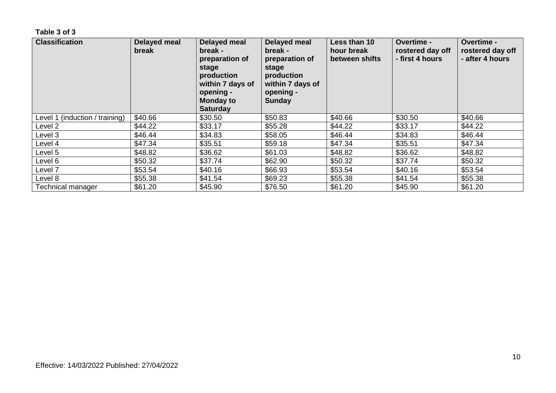| <b>Classification</b>          | Delayed meal<br>break | Delayed meal<br>break -<br>preparation of<br>stage<br>production<br>within 7 days of<br>opening -<br><b>Monday to</b><br><b>Saturday</b> | Delayed meal<br>break -<br>preparation of<br>stage<br>production<br>within 7 days of<br>opening -<br><b>Sunday</b> | Less than 10<br>hour break<br>between shifts | <b>Overtime -</b><br>rostered day off<br>- first 4 hours | <b>Overtime -</b><br>rostered day off<br>- after 4 hours |
|--------------------------------|-----------------------|------------------------------------------------------------------------------------------------------------------------------------------|--------------------------------------------------------------------------------------------------------------------|----------------------------------------------|----------------------------------------------------------|----------------------------------------------------------|
| Level 1 (induction / training) | \$40.66               | \$30.50                                                                                                                                  | \$50.83                                                                                                            | \$40.66                                      | \$30.50                                                  | \$40.66                                                  |
| Level 2                        | \$44.22               | \$33.17                                                                                                                                  | \$55.28                                                                                                            | \$44.22                                      | \$33.17                                                  | \$44.22                                                  |
| Level 3                        | \$46.44               | \$34.83                                                                                                                                  | \$58.05                                                                                                            | \$46.44                                      | \$34.83                                                  | \$46.44                                                  |
| Level 4                        | \$47.34               | \$35.51                                                                                                                                  | \$59.18                                                                                                            | \$47.34                                      | \$35.51                                                  | \$47.34                                                  |
| Level 5                        | \$48.82               | \$36.62                                                                                                                                  | \$61.03                                                                                                            | \$48.82                                      | \$36.62                                                  | \$48.82                                                  |
| Level 6                        | \$50.32               | \$37.74                                                                                                                                  | \$62.90                                                                                                            | \$50.32                                      | \$37.74                                                  | \$50.32                                                  |
| Level 7                        | \$53.54               | \$40.16                                                                                                                                  | \$66.93                                                                                                            | \$53.54                                      | \$40.16                                                  | \$53.54                                                  |
| Level 8                        | \$55.38               | \$41.54                                                                                                                                  | \$69.23                                                                                                            | \$55.38                                      | \$41.54                                                  | \$55.38                                                  |
| Technical manager              | \$61.20               | \$45.90                                                                                                                                  | \$76.50                                                                                                            | \$61.20                                      | \$45.90                                                  | \$61.20                                                  |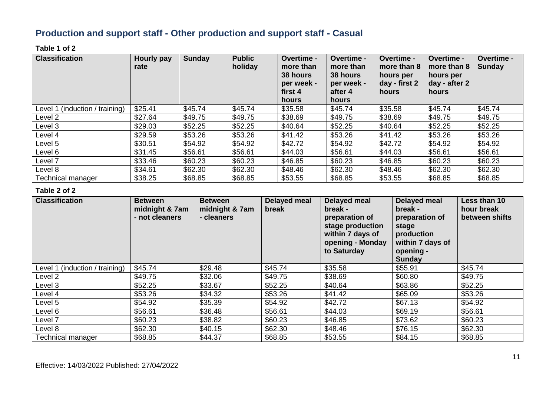## **Production and support staff - Other production and support staff - Casual**

#### **Table 1 of 2**

| <b>Classification</b>          | Hourly pay<br>rate | Sunday  | <b>Public</b><br>holiday | Overtime -<br>more than<br>38 hours<br>per week -<br>first 4<br>hours | Overtime -<br>more than<br>38 hours<br>per week -<br>after 4<br>hours | Overtime -<br>more than 8<br>hours per<br>day - first 2<br>hours | <b>Overtime -</b><br>more than 8<br>hours per<br>day - after 2<br>hours | Overtime -<br><b>Sunday</b> |
|--------------------------------|--------------------|---------|--------------------------|-----------------------------------------------------------------------|-----------------------------------------------------------------------|------------------------------------------------------------------|-------------------------------------------------------------------------|-----------------------------|
| Level 1 (induction / training) | \$25.41            | \$45.74 | \$45.74                  | \$35.58                                                               | \$45.74                                                               | \$35.58                                                          | \$45.74                                                                 | \$45.74                     |
| Level 2                        | \$27.64            | \$49.75 | \$49.75                  | \$38.69                                                               | \$49.75                                                               | \$38.69                                                          | \$49.75                                                                 | \$49.75                     |
| Level 3                        | \$29.03            | \$52.25 | \$52.25                  | \$40.64                                                               | \$52.25                                                               | \$40.64                                                          | \$52.25                                                                 | \$52.25                     |
| Level 4                        | \$29.59            | \$53.26 | \$53.26                  | \$41.42                                                               | \$53.26                                                               | \$41.42                                                          | \$53.26                                                                 | \$53.26                     |
| Level 5                        | \$30.51            | \$54.92 | \$54.92                  | \$42.72                                                               | \$54.92                                                               | \$42.72                                                          | \$54.92                                                                 | \$54.92                     |
| Level 6                        | \$31.45            | \$56.61 | \$56.61                  | \$44.03                                                               | \$56.61                                                               | \$44.03                                                          | \$56.61                                                                 | \$56.61                     |
| Level 7                        | \$33.46            | \$60.23 | \$60.23                  | \$46.85                                                               | \$60.23                                                               | \$46.85                                                          | \$60.23                                                                 | \$60.23                     |
| Level 8                        | \$34.61            | \$62.30 | \$62.30                  | \$48.46                                                               | \$62.30                                                               | \$48.46                                                          | \$62.30                                                                 | \$62.30                     |
| <b>Technical manager</b>       | \$38.25            | \$68.85 | \$68.85                  | \$53.55                                                               | \$68.85                                                               | \$53.55                                                          | \$68.85                                                                 | \$68.85                     |

| <b>Classification</b>          | <b>Between</b><br>midnight & 7am<br>- not cleaners | <b>Between</b><br>midnight & 7am<br>- cleaners | Delayed meal<br>break | Delayed meal<br>break -<br>preparation of<br>stage production<br>within 7 days of<br>opening - Monday<br>to Saturday | Delayed meal<br>break -<br>preparation of<br>stage<br>production<br>within 7 days of<br>opening -<br><b>Sunday</b> | Less than 10<br>hour break<br>between shifts |
|--------------------------------|----------------------------------------------------|------------------------------------------------|-----------------------|----------------------------------------------------------------------------------------------------------------------|--------------------------------------------------------------------------------------------------------------------|----------------------------------------------|
| Level 1 (induction / training) | \$45.74                                            | \$29.48                                        | \$45.74               | \$35.58                                                                                                              | \$55.91                                                                                                            | \$45.74                                      |
| Level 2                        | \$49.75                                            | \$32.06                                        | \$49.75               | \$38.69                                                                                                              | \$60.80                                                                                                            | \$49.75                                      |
| Level 3                        | \$52.25                                            | \$33.67                                        | \$52.25               | \$40.64                                                                                                              | \$63.86                                                                                                            | \$52.25                                      |
| Level 4                        | \$53.26                                            | \$34.32                                        | \$53.26               | \$41.42                                                                                                              | \$65.09                                                                                                            | \$53.26                                      |
| Level 5                        | \$54.92                                            | \$35.39                                        | \$54.92               | \$42.72                                                                                                              | \$67.13                                                                                                            | \$54.92                                      |
| Level 6                        | \$56.61                                            | \$36.48                                        | \$56.61               | \$44.03                                                                                                              | \$69.19                                                                                                            | \$56.61                                      |
| Level 7                        | \$60.23                                            | \$38.82                                        | \$60.23               | \$46.85                                                                                                              | \$73.62                                                                                                            | \$60.23                                      |
| Level 8                        | \$62.30                                            | \$40.15                                        | \$62.30               | \$48.46                                                                                                              | \$76.15                                                                                                            | \$62.30                                      |
| <b>Technical manager</b>       | \$68.85                                            | \$44.37                                        | \$68.85               | \$53.55                                                                                                              | \$84.15                                                                                                            | \$68.85                                      |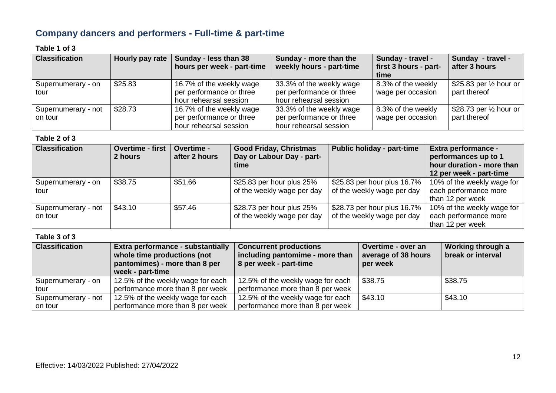## **Company dancers and performers - Full-time & part-time**

#### **Table 1 of 3**

| <b>Classification</b> | Hourly pay rate | Sunday - less than 38<br>hours per week - part-time | Sunday - more than the<br>weekly hours - part-time | Sunday - travel -<br>first 3 hours - part- | Sunday - travel -<br>after 3 hours |
|-----------------------|-----------------|-----------------------------------------------------|----------------------------------------------------|--------------------------------------------|------------------------------------|
|                       |                 |                                                     |                                                    | time                                       |                                    |
| Supernumerary - on    | \$25.83         | 16.7% of the weekly wage                            | 33.3% of the weekly wage                           | 8.3% of the weekly                         | \$25.83 per $\frac{1}{2}$ hour or  |
| tour                  |                 | per performance or three                            | per performance or three                           | wage per occasion                          | part thereof                       |
|                       |                 | hour rehearsal session                              | hour rehearsal session                             |                                            |                                    |
| Supernumerary - not   | \$28.73         | 16.7% of the weekly wage                            | 33.3% of the weekly wage                           | 8.3% of the weekly                         | \$28.73 per $\frac{1}{2}$ hour or  |
| on tour               |                 | per performance or three                            | per performance or three                           | wage per occasion                          | part thereof                       |
|                       |                 | hour rehearsal session                              | hour rehearsal session                             |                                            |                                    |

#### **Table 2 of 3**

| <b>Classification</b>          | <b>Overtime - first</b><br>2 hours | Overtime -<br>after 2 hours | <b>Good Friday, Christmas</b><br>Day or Labour Day - part-<br>time | <b>Public holiday - part-time</b>                         | <b>Extra performance -</b><br>performances up to 1<br>hour duration - more than<br>12 per week - part-time |
|--------------------------------|------------------------------------|-----------------------------|--------------------------------------------------------------------|-----------------------------------------------------------|------------------------------------------------------------------------------------------------------------|
| Supernumerary - on<br>tour     | \$38.75                            | \$51.66                     | \$25.83 per hour plus 25%<br>of the weekly wage per day            | \$25.83 per hour plus 16.7%<br>of the weekly wage per day | 10% of the weekly wage for<br>each performance more<br>than 12 per week                                    |
| Supernumerary - not<br>on tour | \$43.10                            | \$57.46                     | \$28.73 per hour plus 25%<br>of the weekly wage per day            | \$28.73 per hour plus 16.7%<br>of the weekly wage per day | 10% of the weekly wage for<br>each performance more<br>than 12 per week                                    |

| <b>Classification</b> | Extra performance - substantially<br>whole time productions (not<br>pantomimes) - more than 8 per<br>week - part-time | <b>Concurrent productions</b><br>including pantomime - more than<br>8 per week - part-time | Overtime - over an<br>average of 38 hours<br>per week | Working through a<br>break or interval |
|-----------------------|-----------------------------------------------------------------------------------------------------------------------|--------------------------------------------------------------------------------------------|-------------------------------------------------------|----------------------------------------|
| Supernumerary - on    | 12.5% of the weekly wage for each                                                                                     | 12.5% of the weekly wage for each                                                          | \$38.75                                               | \$38.75                                |
| ∟tour                 | performance more than 8 per week                                                                                      | performance more than 8 per week                                                           |                                                       |                                        |
| Supernumerary - not   | 12.5% of the weekly wage for each                                                                                     | 12.5% of the weekly wage for each                                                          | \$43.10                                               | \$43.10                                |
| on tour               | performance more than 8 per week                                                                                      | performance more than 8 per week                                                           |                                                       |                                        |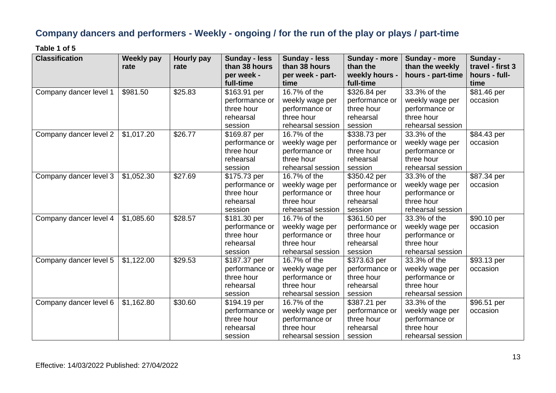## **Company dancers and performers - Weekly - ongoing / for the run of the play or plays / part-time**

**Table 1 of 5**

| <b>Classification</b>  | <b>Weekly pay</b> | Hourly pay | <b>Sunday - less</b> | <b>Sunday - less</b> | Sunday - more  | Sunday - more     | Sunday -         |
|------------------------|-------------------|------------|----------------------|----------------------|----------------|-------------------|------------------|
|                        | rate              | rate       | than 38 hours        | than 38 hours        | than the       | than the weekly   | travel - first 3 |
|                        |                   |            | per week -           | per week - part-     | weekly hours - | hours - part-time | hours - full-    |
|                        |                   |            | full-time            | time                 | full-time      |                   | time             |
| Company dancer level 1 | \$981.50          | \$25.83    | \$163.91 per         | 16.7% of the         | \$326.84 per   | 33.3% of the      | \$81.46 per      |
|                        |                   |            | performance or       | weekly wage per      | performance or | weekly wage per   | occasion         |
|                        |                   |            | three hour           | performance or       | three hour     | performance or    |                  |
|                        |                   |            | rehearsal            | three hour           | rehearsal      | three hour        |                  |
|                        |                   |            | session              | rehearsal session    | session        | rehearsal session |                  |
| Company dancer level 2 | \$1,017.20        | \$26.77    | \$169.87 per         | 16.7% of the         | \$338.73 per   | 33.3% of the      | \$84.43 per      |
|                        |                   |            | performance or       | weekly wage per      | performance or | weekly wage per   | occasion         |
|                        |                   |            | three hour           | performance or       | three hour     | performance or    |                  |
|                        |                   |            | rehearsal            | three hour           | rehearsal      | three hour        |                  |
|                        |                   |            | session              | rehearsal session    | session        | rehearsal session |                  |
| Company dancer level 3 | \$1,052.30        | \$27.69    | \$175.73 per         | 16.7% of the         | \$350.42 per   | 33.3% of the      | \$87.34 per      |
|                        |                   |            | performance or       | weekly wage per      | performance or | weekly wage per   | occasion         |
|                        |                   |            | three hour           | performance or       | three hour     | performance or    |                  |
|                        |                   |            | rehearsal            | three hour           | rehearsal      | three hour        |                  |
|                        |                   |            | session              | rehearsal session    | session        | rehearsal session |                  |
| Company dancer level 4 | \$1,085.60        | \$28.57    | \$181.30 per         | 16.7% of the         | \$361.50 per   | 33.3% of the      | \$90.10 per      |
|                        |                   |            | performance or       | weekly wage per      | performance or | weekly wage per   | occasion         |
|                        |                   |            | three hour           | performance or       | three hour     | performance or    |                  |
|                        |                   |            | rehearsal            | three hour           | rehearsal      | three hour        |                  |
|                        |                   |            | session              | rehearsal session    | session        | rehearsal session |                  |
| Company dancer level 5 | \$1,122.00        | \$29.53    | \$187.37 per         | 16.7% of the         | \$373.63 per   | 33.3% of the      | \$93.13 per      |
|                        |                   |            | performance or       | weekly wage per      | performance or | weekly wage per   | occasion         |
|                        |                   |            | three hour           | performance or       | three hour     | performance or    |                  |
|                        |                   |            | rehearsal            | three hour           | rehearsal      | three hour        |                  |
|                        |                   |            | session              | rehearsal session    | session        | rehearsal session |                  |
| Company dancer level 6 | \$1,162.80        | \$30.60    | \$194.19 per         | 16.7% of the         | \$387.21 per   | 33.3% of the      | \$96.51 per      |
|                        |                   |            | performance or       | weekly wage per      | performance or | weekly wage per   | occasion         |
|                        |                   |            | three hour           | performance or       | three hour     | performance or    |                  |
|                        |                   |            | rehearsal            | three hour           | rehearsal      | three hour        |                  |
|                        |                   |            | session              | rehearsal session    | session        | rehearsal session |                  |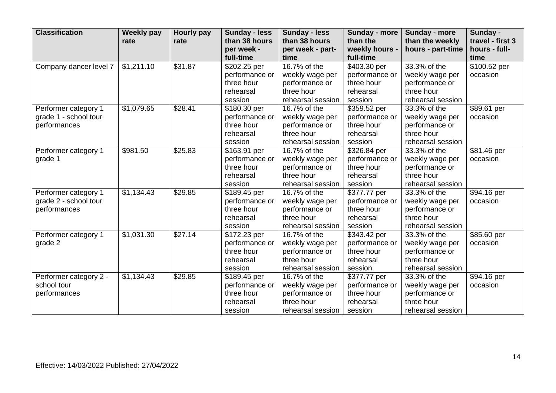| <b>Classification</b>  | <b>Weekly pay</b> | <b>Hourly pay</b> | <b>Sunday - less</b> | <b>Sunday - less</b> | Sunday - more  | Sunday - more     | Sunday -         |
|------------------------|-------------------|-------------------|----------------------|----------------------|----------------|-------------------|------------------|
|                        | rate              | rate              | than 38 hours        | than 38 hours        | than the       | than the weekly   | travel - first 3 |
|                        |                   |                   | per week -           | per week - part-     | weekly hours - | hours - part-time | hours - full-    |
|                        |                   |                   | full-time            | time                 | full-time      |                   | time             |
| Company dancer level 7 | \$1,211.10        | \$31.87           | \$202.25 per         | 16.7% of the         | \$403.30 per   | 33.3% of the      | \$100.52 per     |
|                        |                   |                   | performance or       | weekly wage per      | performance or | weekly wage per   | occasion         |
|                        |                   |                   | three hour           | performance or       | three hour     | performance or    |                  |
|                        |                   |                   | rehearsal            | three hour           | rehearsal      | three hour        |                  |
|                        |                   |                   | session              | rehearsal session    | session        | rehearsal session |                  |
| Performer category 1   | \$1,079.65        | \$28.41           | \$180.30 per         | 16.7% of the         | \$359.52 per   | 33.3% of the      | \$89.61 per      |
| grade 1 - school tour  |                   |                   | performance or       | weekly wage per      | performance or | weekly wage per   | occasion         |
| performances           |                   |                   | three hour           | performance or       | three hour     | performance or    |                  |
|                        |                   |                   | rehearsal            | three hour           | rehearsal      | three hour        |                  |
|                        |                   |                   | session              | rehearsal session    | session        | rehearsal session |                  |
| Performer category 1   | \$981.50          | \$25.83           | \$163.91 per         | 16.7% of the         | \$326.84 per   | 33.3% of the      | \$81.46 per      |
| grade 1                |                   |                   | performance or       | weekly wage per      | performance or | weekly wage per   | occasion         |
|                        |                   |                   | three hour           | performance or       | three hour     | performance or    |                  |
|                        |                   |                   | rehearsal            | three hour           | rehearsal      | three hour        |                  |
|                        |                   |                   | session              | rehearsal session    | session        | rehearsal session |                  |
| Performer category 1   | \$1,134.43        | \$29.85           | \$189.45 per         | $16.7%$ of the       | \$377.77 per   | 33.3% of the      | \$94.16 per      |
| grade 2 - school tour  |                   |                   | performance or       | weekly wage per      | performance or | weekly wage per   | occasion         |
| performances           |                   |                   | three hour           | performance or       | three hour     | performance or    |                  |
|                        |                   |                   | rehearsal            | three hour           | rehearsal      | three hour        |                  |
|                        |                   |                   | session              | rehearsal session    | session        | rehearsal session |                  |
| Performer category 1   | \$1,031.30        | \$27.14           | \$172.23 per         | 16.7% of the         | \$343.42 per   | 33.3% of the      | $$85.60$ per     |
| grade 2                |                   |                   | performance or       | weekly wage per      | performance or | weekly wage per   | occasion         |
|                        |                   |                   | three hour           | performance or       | three hour     | performance or    |                  |
|                        |                   |                   | rehearsal            | three hour           | rehearsal      | three hour        |                  |
|                        |                   |                   | session              | rehearsal session    | session        | rehearsal session |                  |
| Performer category 2 - | \$1,134.43        | \$29.85           | \$189.45 per         | 16.7% of the         | \$377.77 per   | 33.3% of the      | \$94.16 per      |
| school tour            |                   |                   | performance or       | weekly wage per      | performance or | weekly wage per   | occasion         |
| performances           |                   |                   | three hour           | performance or       | three hour     | performance or    |                  |
|                        |                   |                   | rehearsal            | three hour           | rehearsal      | three hour        |                  |
|                        |                   |                   | session              | rehearsal session    | session        | rehearsal session |                  |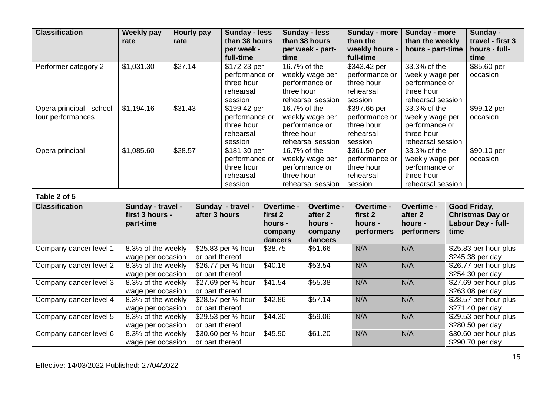| <b>Classification</b>    | <b>Weekly pay</b><br>rate | Hourly pay<br>rate | <b>Sunday - less</b><br>than 38 hours<br>per week - | <b>Sunday - less</b><br>than 38 hours<br>per week - part- | Sunday - more<br>than the<br>weekly hours - | Sunday - more<br>than the weekly<br>hours - part-time | Sunday -<br>travel - first 3<br>hours - full- |
|--------------------------|---------------------------|--------------------|-----------------------------------------------------|-----------------------------------------------------------|---------------------------------------------|-------------------------------------------------------|-----------------------------------------------|
|                          |                           |                    | full-time                                           | time                                                      | full-time                                   |                                                       | time                                          |
| Performer category 2     | \$1,031.30                | \$27.14            | \$172.23 per                                        | 16.7% of the                                              | \$343.42 per                                | 33.3% of the                                          | \$85.60 per                                   |
|                          |                           |                    | performance or                                      | weekly wage per                                           | performance or                              | weekly wage per                                       | occasion                                      |
|                          |                           |                    | three hour                                          | performance or                                            | three hour                                  | performance or                                        |                                               |
|                          |                           |                    | rehearsal                                           | three hour                                                | rehearsal                                   | three hour                                            |                                               |
|                          |                           |                    | session                                             | rehearsal session                                         | session                                     | rehearsal session                                     |                                               |
| Opera principal - school | \$1,194.16                | \$31.43            | \$199.42 per                                        | 16.7% of the                                              | \$397.66 per                                | 33.3% of the                                          | \$99.12 per                                   |
| tour performances        |                           |                    | performance or                                      | weekly wage per                                           | performance or                              | weekly wage per                                       | occasion                                      |
|                          |                           |                    | three hour                                          | performance or                                            | three hour                                  | performance or                                        |                                               |
|                          |                           |                    | rehearsal                                           | three hour                                                | rehearsal                                   | three hour                                            |                                               |
|                          |                           |                    | session                                             | rehearsal session                                         | session                                     | rehearsal session                                     |                                               |
| Opera principal          | \$1,085.60                | \$28.57            | \$181.30 per                                        | 16.7% of the                                              | \$361.50 per                                | 33.3% of the                                          | \$90.10 per                                   |
|                          |                           |                    | performance or                                      | weekly wage per                                           | performance or                              | weekly wage per                                       | occasion                                      |
|                          |                           |                    | three hour                                          | performance or                                            | three hour                                  | performance or                                        |                                               |
|                          |                           |                    | rehearsal                                           | three hour                                                | rehearsal                                   | three hour                                            |                                               |
|                          |                           |                    | session                                             | rehearsal session                                         | session                                     | rehearsal session                                     |                                               |

| <b>Classification</b>  | Sunday - travel -<br>first 3 hours -<br>part-time | Sunday - travel -<br>after 3 hours | Overtime -<br>first 2<br>hours -<br>company<br>dancers | Overtime -<br>after 2<br>hours -<br>company<br>dancers | Overtime -<br>first 2<br>hours -<br>performers | Overtime -<br>after 2<br>hours -<br>performers | Good Friday,<br><b>Christmas Day or</b><br>Labour Day - full-<br>time |
|------------------------|---------------------------------------------------|------------------------------------|--------------------------------------------------------|--------------------------------------------------------|------------------------------------------------|------------------------------------------------|-----------------------------------------------------------------------|
| Company dancer level 1 | 8.3% of the weekly                                | \$25.83 per $\frac{1}{2}$ hour     | \$38.75                                                | \$51.66                                                | N/A                                            | N/A                                            | \$25.83 per hour plus                                                 |
|                        | wage per occasion                                 | or part thereof                    |                                                        |                                                        |                                                |                                                | \$245.38 per day                                                      |
| Company dancer level 2 | 8.3% of the weekly                                | \$26.77 per 1/2 hour               | \$40.16                                                | \$53.54                                                | N/A                                            | N/A                                            | \$26.77 per hour plus                                                 |
|                        | wage per occasion                                 | or part thereof                    |                                                        |                                                        |                                                |                                                | \$254.30 per day                                                      |
| Company dancer level 3 | 8.3% of the weekly                                | \$27.69 per 1/2 hour               | \$41.54                                                | \$55.38                                                | N/A                                            | N/A                                            | \$27.69 per hour plus                                                 |
|                        | wage per occasion                                 | or part thereof                    |                                                        |                                                        |                                                |                                                | \$263.08 per day                                                      |
| Company dancer level 4 | 8.3% of the weekly                                | \$28.57 per 1/2 hour               | \$42.86                                                | \$57.14                                                | N/A                                            | N/A                                            | \$28.57 per hour plus                                                 |
|                        | wage per occasion                                 | or part thereof                    |                                                        |                                                        |                                                |                                                | \$271.40 per day                                                      |
| Company dancer level 5 | 8.3% of the weekly                                | \$29.53 per 1/2 hour               | \$44.30                                                | \$59.06                                                | N/A                                            | N/A                                            | \$29.53 per hour plus                                                 |
|                        | wage per occasion                                 | or part thereof                    |                                                        |                                                        |                                                |                                                | \$280.50 per day                                                      |
| Company dancer level 6 | 8.3% of the weekly                                | \$30.60 per $\frac{1}{2}$ hour     | \$45.90                                                | \$61.20                                                | N/A                                            | N/A                                            | \$30.60 per hour plus                                                 |
|                        | wage per occasion                                 | or part thereof                    |                                                        |                                                        |                                                |                                                | \$290.70 per day                                                      |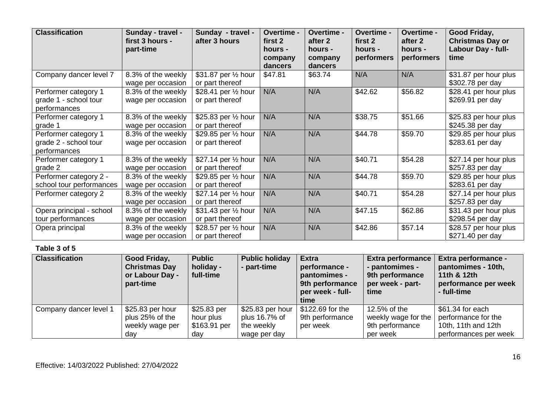| <b>Classification</b>                                         | Sunday - travel -<br>first 3 hours -<br>part-time | Sunday - travel -<br>after 3 hours      | Overtime -<br>first 2<br>hours -<br>company<br>dancers | Overtime -<br>after 2<br>hours -<br>company<br>dancers | Overtime -<br>first 2<br>hours -<br>performers | Overtime -<br>after 2<br>hours -<br>performers | Good Friday,<br><b>Christmas Day or</b><br>Labour Day - full-<br>time |
|---------------------------------------------------------------|---------------------------------------------------|-----------------------------------------|--------------------------------------------------------|--------------------------------------------------------|------------------------------------------------|------------------------------------------------|-----------------------------------------------------------------------|
| Company dancer level 7                                        | 8.3% of the weekly<br>wage per occasion           | \$31.87 per 1/2 hour<br>or part thereof | \$47.81                                                | \$63.74                                                | N/A                                            | N/A                                            | \$31.87 per hour plus<br>\$302.78 per day                             |
| Performer category 1<br>grade 1 - school tour<br>performances | 8.3% of the weekly<br>wage per occasion           | \$28.41 per 1/2 hour<br>or part thereof | N/A                                                    | N/A                                                    | \$42.62                                        | \$56.82                                        | \$28.41 per hour plus<br>\$269.91 per day                             |
| Performer category 1<br>grade 1                               | 8.3% of the weekly<br>wage per occasion           | \$25.83 per 1/2 hour<br>or part thereof | N/A                                                    | N/A                                                    | \$38.75                                        | \$51.66                                        | \$25.83 per hour plus<br>\$245.38 per day                             |
| Performer category 1<br>grade 2 - school tour<br>performances | 8.3% of the weekly<br>wage per occasion           | \$29.85 per 1/2 hour<br>or part thereof | N/A                                                    | N/A                                                    | \$44.78                                        | \$59.70                                        | \$29.85 per hour plus<br>\$283.61 per day                             |
| Performer category 1<br>grade 2                               | 8.3% of the weekly<br>wage per occasion           | \$27.14 per 1/2 hour<br>or part thereof | N/A                                                    | N/A                                                    | \$40.71                                        | \$54.28                                        | \$27.14 per hour plus<br>\$257.83 per day                             |
| Performer category 2 -<br>school tour performances            | 8.3% of the weekly<br>wage per occasion           | \$29.85 per 1/2 hour<br>or part thereof | N/A                                                    | N/A                                                    | \$44.78                                        | \$59.70                                        | \$29.85 per hour plus<br>\$283.61 per day                             |
| Performer category 2                                          | 8.3% of the weekly<br>wage per occasion           | \$27.14 per 1/2 hour<br>or part thereof | N/A                                                    | N/A                                                    | \$40.71                                        | \$54.28                                        | \$27.14 per hour plus<br>\$257.83 per day                             |
| Opera principal - school<br>tour performances                 | 8.3% of the weekly<br>wage per occasion           | \$31.43 per 1/2 hour<br>or part thereof | N/A                                                    | N/A                                                    | \$47.15                                        | \$62.86                                        | \$31.43 per hour plus<br>\$298.54 per day                             |
| Opera principal                                               | 8.3% of the weekly<br>wage per occasion           | \$28.57 per 1/2 hour<br>or part thereof | N/A                                                    | N/A                                                    | \$42.86                                        | \$57.14                                        | \$28.57 per hour plus<br>\$271.40 per day                             |

| <b>Classification</b>  | Good Friday,<br><b>Christmas Day</b><br>or Labour Day -<br>part-time | <b>Public</b><br>holiday -<br>full-time         | <b>Public holiday</b><br>- part-time                            | <b>Extra</b><br>performance -<br>pantomimes -<br>9th performance<br>per week - full-<br>time | <b>Extra performance</b><br>- pantomimes -<br>9th performance<br>per week - part-<br>time | <b>Extra performance -</b><br>pantomimes - 10th,<br>11th & 12th<br>performance per week<br>- full-time |
|------------------------|----------------------------------------------------------------------|-------------------------------------------------|-----------------------------------------------------------------|----------------------------------------------------------------------------------------------|-------------------------------------------------------------------------------------------|--------------------------------------------------------------------------------------------------------|
| Company dancer level 1 | \$25.83 per hour<br>plus 25% of the<br>weekly wage per<br>dav        | \$25.83 per<br>hour plus<br>\$163.91 per<br>dav | \$25.83 per hour<br>plus 16.7% of<br>the weekly<br>wage per day | \$122.69 for the<br>9th performance<br>per week                                              | 12.5% of the<br>weekly wage for the<br>9th performance<br>per week                        | \$61.34 for each<br>performance for the<br>10th, 11th and 12th<br>performances per week                |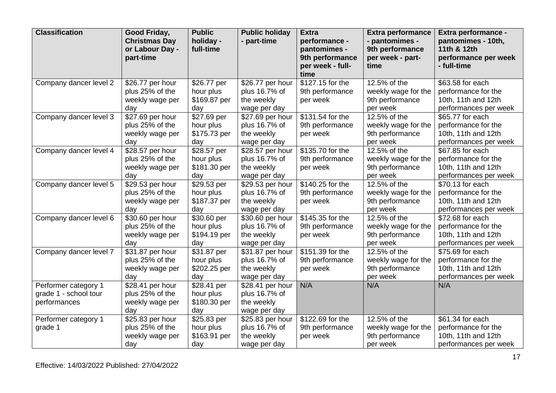| <b>Classification</b>                                         | Good Friday,<br><b>Christmas Day</b><br>or Labour Day -<br>part-time | <b>Public</b><br>holiday -<br>full-time         | <b>Public holiday</b><br>- part-time                            | <b>Extra</b><br>performance -<br>pantomimes -<br>9th performance<br>per week - full-<br>time | <b>Extra performance</b><br>- pantomimes -<br>9th performance<br>per week - part-<br>time | Extra performance -<br>pantomimes - 10th,<br>11th & 12th<br>performance per week<br>- full-time |
|---------------------------------------------------------------|----------------------------------------------------------------------|-------------------------------------------------|-----------------------------------------------------------------|----------------------------------------------------------------------------------------------|-------------------------------------------------------------------------------------------|-------------------------------------------------------------------------------------------------|
| Company dancer level 2                                        | \$26.77 per hour<br>plus 25% of the<br>weekly wage per<br>day        | \$26.77 per<br>hour plus<br>\$169.87 per<br>day | \$26.77 per hour<br>plus 16.7% of<br>the weekly<br>wage per day | \$127.15 for the<br>9th performance<br>per week                                              | 12.5% of the<br>weekly wage for the<br>9th performance<br>per week                        | \$63.58 for each<br>performance for the<br>10th, 11th and 12th<br>performances per week         |
| Company dancer level 3                                        | \$27.69 per hour<br>plus 25% of the<br>weekly wage per<br>day        | \$27.69 per<br>hour plus<br>\$175.73 per<br>day | \$27.69 per hour<br>plus 16.7% of<br>the weekly<br>wage per day | \$131.54 for the<br>9th performance<br>per week                                              | 12.5% of the<br>weekly wage for the<br>9th performance<br>per week                        | \$65.77 for each<br>performance for the<br>10th, 11th and 12th<br>performances per week         |
| Company dancer level 4                                        | \$28.57 per hour<br>plus 25% of the<br>weekly wage per<br>day        | \$28.57 per<br>hour plus<br>\$181.30 per<br>day | \$28.57 per hour<br>plus 16.7% of<br>the weekly<br>wage per day | \$135.70 for the<br>9th performance<br>per week                                              | 12.5% of the<br>weekly wage for the<br>9th performance<br>per week                        | \$67.85 for each<br>performance for the<br>10th, 11th and 12th<br>performances per week         |
| Company dancer level 5                                        | \$29.53 per hour<br>plus 25% of the<br>weekly wage per<br>day        | \$29.53 per<br>hour plus<br>\$187.37 per<br>day | \$29.53 per hour<br>plus 16.7% of<br>the weekly<br>wage per day | \$140.25 for the<br>9th performance<br>per week                                              | 12.5% of the<br>weekly wage for the<br>9th performance<br>per week                        | \$70.13 for each<br>performance for the<br>10th, 11th and 12th<br>performances per week         |
| Company dancer level 6                                        | \$30.60 per hour<br>plus 25% of the<br>weekly wage per<br>day        | \$30.60 per<br>hour plus<br>\$194.19 per<br>day | \$30.60 per hour<br>plus 16.7% of<br>the weekly<br>wage per day | \$145.35 for the<br>9th performance<br>per week                                              | 12.5% of the<br>weekly wage for the<br>9th performance<br>per week                        | \$72.68 for each<br>performance for the<br>10th, 11th and 12th<br>performances per week         |
| Company dancer level 7                                        | \$31.87 per hour<br>plus 25% of the<br>weekly wage per<br>day        | \$31.87 per<br>hour plus<br>\$202.25 per<br>day | \$31.87 per hour<br>plus 16.7% of<br>the weekly<br>wage per day | \$151.39 for the<br>9th performance<br>per week                                              | 12.5% of the<br>weekly wage for the<br>9th performance<br>per week                        | \$75.69 for each<br>performance for the<br>10th, 11th and 12th<br>performances per week         |
| Performer category 1<br>grade 1 - school tour<br>performances | \$28.41 per hour<br>plus 25% of the<br>weekly wage per<br>day        | \$28.41 per<br>hour plus<br>\$180.30 per<br>day | \$28.41 per hour<br>plus 16.7% of<br>the weekly<br>wage per day | N/A                                                                                          | N/A                                                                                       | N/A                                                                                             |
| Performer category 1<br>grade 1                               | \$25.83 per hour<br>plus 25% of the<br>weekly wage per<br>day        | \$25.83 per<br>hour plus<br>\$163.91 per<br>day | \$25.83 per hour<br>plus 16.7% of<br>the weekly<br>wage per day | \$122.69 for the<br>9th performance<br>per week                                              | 12.5% of the<br>weekly wage for the<br>9th performance<br>per week                        | \$61.34 for each<br>performance for the<br>10th, 11th and 12th<br>performances per week         |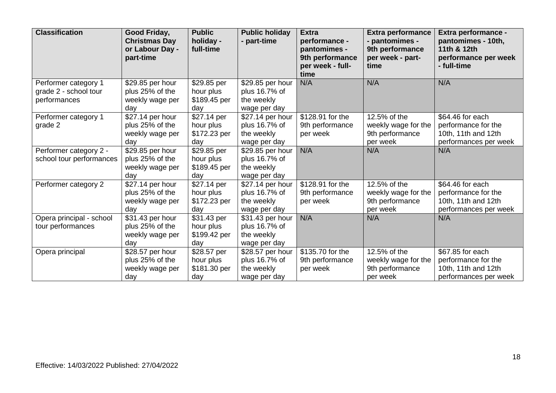| <b>Classification</b>    | Good Friday,<br><b>Christmas Day</b><br>or Labour Day -<br>part-time | <b>Public</b><br>holiday -<br>full-time | <b>Public holiday</b><br>- part-time | <b>Extra</b><br>performance -<br>pantomimes -<br>9th performance<br>per week - full-<br>time | <b>Extra performance</b><br>- pantomimes -<br>9th performance<br>per week - part-<br>time | Extra performance -<br>pantomimes - 10th,<br>11th & 12th<br>performance per week<br>- full-time |
|--------------------------|----------------------------------------------------------------------|-----------------------------------------|--------------------------------------|----------------------------------------------------------------------------------------------|-------------------------------------------------------------------------------------------|-------------------------------------------------------------------------------------------------|
| Performer category 1     | \$29.85 per hour                                                     | \$29.85 per                             | \$29.85 per hour                     | N/A                                                                                          | N/A                                                                                       | N/A                                                                                             |
| grade 2 - school tour    | plus 25% of the                                                      | hour plus                               | plus 16.7% of                        |                                                                                              |                                                                                           |                                                                                                 |
| performances             | weekly wage per                                                      | \$189.45 per                            | the weekly                           |                                                                                              |                                                                                           |                                                                                                 |
|                          | day                                                                  | day                                     | wage per day                         |                                                                                              |                                                                                           |                                                                                                 |
| Performer category 1     | \$27.14 per hour                                                     | \$27.14 per                             | \$27.14 per hour                     | \$128.91 for the                                                                             | 12.5% of the                                                                              | \$64.46 for each                                                                                |
| grade 2                  | plus 25% of the                                                      | hour plus                               | plus 16.7% of                        | 9th performance                                                                              | weekly wage for the                                                                       | performance for the                                                                             |
|                          | weekly wage per                                                      | \$172.23 per                            | the weekly                           | per week                                                                                     | 9th performance                                                                           | 10th, 11th and 12th                                                                             |
|                          | day                                                                  | day                                     | wage per day                         |                                                                                              | per week                                                                                  | performances per week                                                                           |
| Performer category 2 -   | \$29.85 per hour                                                     | \$29.85 per                             | \$29.85 per hour                     | N/A                                                                                          | N/A                                                                                       | N/A                                                                                             |
| school tour performances | plus 25% of the                                                      | hour plus                               | plus 16.7% of                        |                                                                                              |                                                                                           |                                                                                                 |
|                          | weekly wage per                                                      | \$189.45 per                            | the weekly                           |                                                                                              |                                                                                           |                                                                                                 |
|                          | day                                                                  | day                                     | wage per day                         |                                                                                              |                                                                                           |                                                                                                 |
| Performer category 2     | \$27.14 per hour                                                     | \$27.14 per                             | \$27.14 per hour                     | \$128.91 for the                                                                             | 12.5% of the                                                                              | \$64.46 for each                                                                                |
|                          | plus 25% of the                                                      | hour plus                               | plus 16.7% of                        | 9th performance                                                                              | weekly wage for the                                                                       | performance for the                                                                             |
|                          | weekly wage per                                                      | \$172.23 per                            | the weekly                           | per week                                                                                     | 9th performance                                                                           | 10th, 11th and 12th                                                                             |
|                          | day                                                                  | day                                     | wage per day                         |                                                                                              | per week                                                                                  | performances per week                                                                           |
| Opera principal - school | \$31.43 per hour                                                     | \$31.43 per                             | \$31.43 per hour                     | N/A                                                                                          | N/A                                                                                       | N/A                                                                                             |
| tour performances        | plus 25% of the                                                      | hour plus                               | plus 16.7% of                        |                                                                                              |                                                                                           |                                                                                                 |
|                          | weekly wage per                                                      | \$199.42 per                            | the weekly                           |                                                                                              |                                                                                           |                                                                                                 |
|                          | day                                                                  | day                                     | wage per day                         |                                                                                              |                                                                                           |                                                                                                 |
| Opera principal          | $\sqrt{$28.57}$ per hour                                             | \$28.57 per                             | \$28.57 per hour                     | \$135.70 for the                                                                             | 12.5% of the                                                                              | \$67.85 for each                                                                                |
|                          | plus 25% of the                                                      | hour plus                               | plus 16.7% of                        | 9th performance                                                                              | weekly wage for the                                                                       | performance for the                                                                             |
|                          | weekly wage per                                                      | \$181.30 per                            | the weekly                           | per week                                                                                     | 9th performance                                                                           | 10th, 11th and 12th                                                                             |
|                          | day                                                                  | day                                     | wage per day                         |                                                                                              | per week                                                                                  | performances per week                                                                           |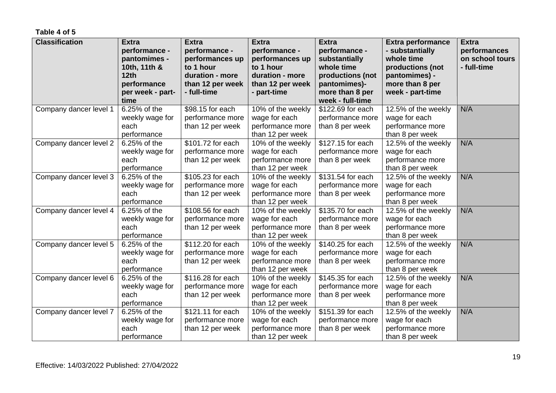#### **Table 4 of 5**

| <b>Classification</b>  | <b>Extra</b><br>performance -<br>pantomimes -<br>10th, 11th & | <b>Extra</b><br>performance -<br>performances up<br>to 1 hour | <b>Extra</b><br>performance -<br>performances up<br>to 1 hour              | <b>Extra</b><br>performance -<br>substantially<br>whole time            | <b>Extra performance</b><br>- substantially<br>whole time<br>productions (not | <b>Extra</b><br>performances<br>on school tours<br>- full-time |
|------------------------|---------------------------------------------------------------|---------------------------------------------------------------|----------------------------------------------------------------------------|-------------------------------------------------------------------------|-------------------------------------------------------------------------------|----------------------------------------------------------------|
|                        | 12th<br>performance<br>per week - part-<br>time               | duration - more<br>than 12 per week<br>- full-time            | duration - more<br>than 12 per week<br>- part-time                         | productions (not<br>pantomimes)-<br>more than 8 per<br>week - full-time | pantomimes) -<br>more than 8 per<br>week - part-time                          |                                                                |
| Company dancer level 1 | 6.25% of the<br>weekly wage for<br>each<br>performance        | \$98.15 for each<br>performance more<br>than 12 per week      | 10% of the weekly<br>wage for each<br>performance more<br>than 12 per week | \$122.69 for each<br>performance more<br>than 8 per week                | 12.5% of the weekly<br>wage for each<br>performance more<br>than 8 per week   | N/A                                                            |
| Company dancer level 2 | 6.25% of the<br>weekly wage for<br>each<br>performance        | \$101.72 for each<br>performance more<br>than 12 per week     | 10% of the weekly<br>wage for each<br>performance more<br>than 12 per week | \$127.15 for each<br>performance more<br>than 8 per week                | 12.5% of the weekly<br>wage for each<br>performance more<br>than 8 per week   | N/A                                                            |
| Company dancer level 3 | 6.25% of the<br>weekly wage for<br>each<br>performance        | \$105.23 for each<br>performance more<br>than 12 per week     | 10% of the weekly<br>wage for each<br>performance more<br>than 12 per week | \$131.54 for each<br>performance more<br>than 8 per week                | 12.5% of the weekly<br>wage for each<br>performance more<br>than 8 per week   | N/A                                                            |
| Company dancer level 4 | 6.25% of the<br>weekly wage for<br>each<br>performance        | \$108.56 for each<br>performance more<br>than 12 per week     | 10% of the weekly<br>wage for each<br>performance more<br>than 12 per week | \$135.70 for each<br>performance more<br>than 8 per week                | 12.5% of the weekly<br>wage for each<br>performance more<br>than 8 per week   | N/A                                                            |
| Company dancer level 5 | 6.25% of the<br>weekly wage for<br>each<br>performance        | \$112.20 for each<br>performance more<br>than 12 per week     | 10% of the weekly<br>wage for each<br>performance more<br>than 12 per week | \$140.25 for each<br>performance more<br>than 8 per week                | 12.5% of the weekly<br>wage for each<br>performance more<br>than 8 per week   | N/A                                                            |
| Company dancer level 6 | 6.25% of the<br>weekly wage for<br>each<br>performance        | \$116.28 for each<br>performance more<br>than 12 per week     | 10% of the weekly<br>wage for each<br>performance more<br>than 12 per week | \$145.35 for each<br>performance more<br>than 8 per week                | 12.5% of the weekly<br>wage for each<br>performance more<br>than 8 per week   | N/A                                                            |
| Company dancer level 7 | 6.25% of the<br>weekly wage for<br>each<br>performance        | \$121.11 for each<br>performance more<br>than 12 per week     | 10% of the weekly<br>wage for each<br>performance more<br>than 12 per week | \$151.39 for each<br>performance more<br>than 8 per week                | 12.5% of the weekly<br>wage for each<br>performance more<br>than 8 per week   | N/A                                                            |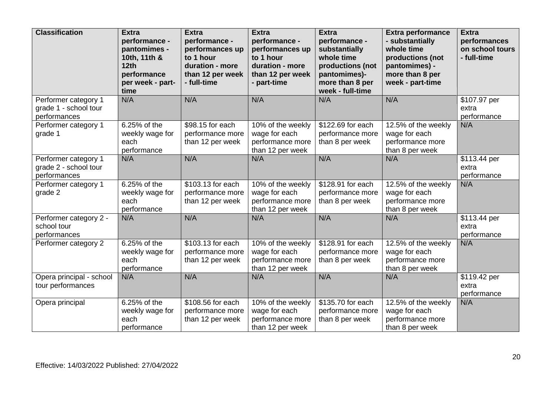| <b>Classification</b>                                         | <b>Extra</b><br>performance -<br>pantomimes -<br>10th, 11th &<br>12th<br>performance<br>per week - part-<br>time | <b>Extra</b><br>performance -<br>performances up<br>to 1 hour<br>duration - more<br>than 12 per week<br>- full-time | <b>Extra</b><br>performance -<br>performances up<br>to 1 hour<br>duration - more<br>than 12 per week<br>- part-time | <b>Extra</b><br>performance -<br>substantially<br>whole time<br>productions (not<br>pantomimes)-<br>more than 8 per<br>week - full-time | <b>Extra performance</b><br>- substantially<br>whole time<br>productions (not<br>pantomimes) -<br>more than 8 per<br>week - part-time | <b>Extra</b><br>performances<br>on school tours<br>- full-time |
|---------------------------------------------------------------|------------------------------------------------------------------------------------------------------------------|---------------------------------------------------------------------------------------------------------------------|---------------------------------------------------------------------------------------------------------------------|-----------------------------------------------------------------------------------------------------------------------------------------|---------------------------------------------------------------------------------------------------------------------------------------|----------------------------------------------------------------|
| Performer category 1<br>grade 1 - school tour<br>performances | N/A                                                                                                              | N/A                                                                                                                 | N/A                                                                                                                 | N/A                                                                                                                                     | N/A                                                                                                                                   | \$107.97 per<br>extra<br>performance                           |
| Performer category 1<br>grade 1                               | 6.25% of the<br>weekly wage for<br>each<br>performance                                                           | \$98.15 for each<br>performance more<br>than 12 per week                                                            | 10% of the weekly<br>wage for each<br>performance more<br>than 12 per week                                          | \$122.69 for each<br>performance more<br>than 8 per week                                                                                | 12.5% of the weekly<br>wage for each<br>performance more<br>than 8 per week                                                           | N/A                                                            |
| Performer category 1<br>grade 2 - school tour<br>performances | N/A                                                                                                              | N/A                                                                                                                 | N/A                                                                                                                 | N/A                                                                                                                                     | N/A                                                                                                                                   | \$113.44 per<br>extra<br>performance                           |
| Performer category 1<br>grade 2                               | 6.25% of the<br>weekly wage for<br>each<br>performance                                                           | $$103.13$ for each<br>performance more<br>than 12 per week                                                          | 10% of the weekly<br>wage for each<br>performance more<br>than 12 per week                                          | \$128.91 for each<br>performance more<br>than 8 per week                                                                                | 12.5% of the weekly<br>wage for each<br>performance more<br>than 8 per week                                                           | N/A                                                            |
| Performer category 2 -<br>school tour<br>performances         | N/A                                                                                                              | N/A                                                                                                                 | N/A                                                                                                                 | N/A                                                                                                                                     | N/A                                                                                                                                   | \$113.44 per<br>extra<br>performance                           |
| Performer category 2                                          | 6.25% of the<br>weekly wage for<br>each<br>performance                                                           | \$103.13 for each<br>performance more<br>than 12 per week                                                           | 10% of the weekly<br>wage for each<br>performance more<br>than 12 per week                                          | \$128.91 for each<br>performance more<br>than 8 per week                                                                                | 12.5% of the weekly<br>wage for each<br>performance more<br>than 8 per week                                                           | N/A                                                            |
| Opera principal - school<br>tour performances                 | N/A                                                                                                              | N/A                                                                                                                 | N/A                                                                                                                 | N/A                                                                                                                                     | N/A                                                                                                                                   | \$119.42 per<br>extra<br>performance                           |
| Opera principal                                               | 6.25% of the<br>weekly wage for<br>each<br>performance                                                           | \$108.56 for each<br>performance more<br>than 12 per week                                                           | 10% of the weekly<br>wage for each<br>performance more<br>than 12 per week                                          | \$135.70 for each<br>performance more<br>than 8 per week                                                                                | 12.5% of the weekly<br>wage for each<br>performance more<br>than 8 per week                                                           | N/A                                                            |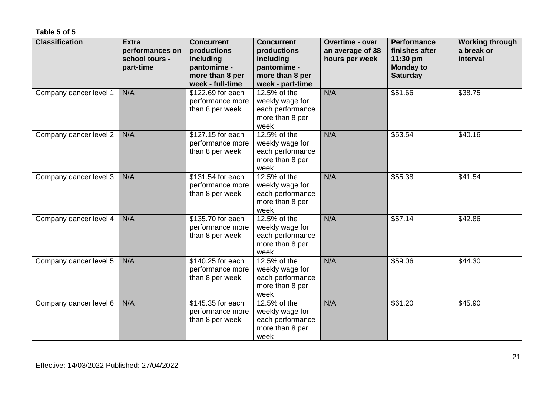#### **Table 5 of 5**

| <b>Classification</b>  | <b>Extra</b><br>performances on<br>school tours -<br>part-time | <b>Concurrent</b><br>productions<br>including<br>pantomime -<br>more than 8 per<br>week - full-time | <b>Concurrent</b><br>productions<br>including<br>pantomime -<br>more than 8 per<br>week - part-time | <b>Overtime - over</b><br>an average of 38<br>hours per week | <b>Performance</b><br>finishes after<br>11:30 pm<br><b>Monday to</b><br><b>Saturday</b> | <b>Working through</b><br>a break or<br>interval |
|------------------------|----------------------------------------------------------------|-----------------------------------------------------------------------------------------------------|-----------------------------------------------------------------------------------------------------|--------------------------------------------------------------|-----------------------------------------------------------------------------------------|--------------------------------------------------|
| Company dancer level 1 | N/A                                                            | \$122.69 for each<br>performance more<br>than 8 per week                                            | 12.5% of the<br>weekly wage for<br>each performance<br>more than 8 per<br>week                      | N/A                                                          | \$51.66                                                                                 | \$38.75                                          |
| Company dancer level 2 | N/A                                                            | \$127.15 for each<br>performance more<br>than 8 per week                                            | 12.5% of the<br>weekly wage for<br>each performance<br>more than 8 per<br>week                      | N/A                                                          | \$53.54                                                                                 | \$40.16                                          |
| Company dancer level 3 | N/A                                                            | \$131.54 for each<br>performance more<br>than 8 per week                                            | 12.5% of the<br>weekly wage for<br>each performance<br>more than 8 per<br>week                      | N/A                                                          | \$55.38                                                                                 | \$41.54                                          |
| Company dancer level 4 | N/A                                                            | \$135.70 for each<br>performance more<br>than 8 per week                                            | 12.5% of the<br>weekly wage for<br>each performance<br>more than 8 per<br>week                      | N/A                                                          | \$57.14                                                                                 | \$42.86                                          |
| Company dancer level 5 | N/A                                                            | \$140.25 for each<br>performance more<br>than 8 per week                                            | 12.5% of the<br>weekly wage for<br>each performance<br>more than 8 per<br>week                      | N/A                                                          | \$59.06                                                                                 | \$44.30                                          |
| Company dancer level 6 | N/A                                                            | \$145.35 for each<br>performance more<br>than 8 per week                                            | 12.5% of the<br>weekly wage for<br>each performance<br>more than 8 per<br>week                      | N/A                                                          | \$61.20                                                                                 | \$45.90                                          |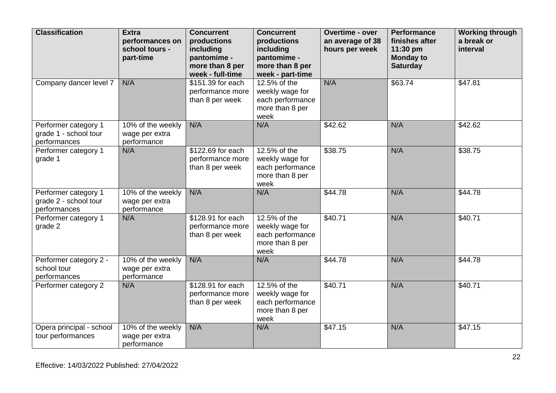| <b>Classification</b>                                         | <b>Extra</b><br>performances on<br>school tours -<br>part-time | <b>Concurrent</b><br>productions<br>including<br>pantomime -<br>more than 8 per<br>week - full-time | <b>Concurrent</b><br>productions<br>including<br>pantomime -<br>more than 8 per<br>week - part-time | <b>Overtime - over</b><br>an average of 38<br>hours per week | <b>Performance</b><br>finishes after<br>11:30 pm<br><b>Monday to</b><br><b>Saturday</b> | <b>Working through</b><br>a break or<br>interval |
|---------------------------------------------------------------|----------------------------------------------------------------|-----------------------------------------------------------------------------------------------------|-----------------------------------------------------------------------------------------------------|--------------------------------------------------------------|-----------------------------------------------------------------------------------------|--------------------------------------------------|
| Company dancer level 7                                        | N/A                                                            | \$151.39 for each<br>performance more<br>than 8 per week                                            | 12.5% of the<br>weekly wage for<br>each performance<br>more than 8 per<br>week                      | N/A                                                          | \$63.74                                                                                 | \$47.81                                          |
| Performer category 1<br>grade 1 - school tour<br>performances | 10% of the weekly<br>wage per extra<br>performance             | N/A                                                                                                 | N/A                                                                                                 | \$42.62                                                      | N/A                                                                                     | \$42.62                                          |
| Performer category 1<br>grade 1                               | N/A                                                            | \$122.69 for each<br>performance more<br>than 8 per week                                            | 12.5% of the<br>weekly wage for<br>each performance<br>more than 8 per<br>week                      | \$38.75                                                      | N/A                                                                                     | \$38.75                                          |
| Performer category 1<br>grade 2 - school tour<br>performances | 10% of the weekly<br>wage per extra<br>performance             | N/A                                                                                                 | N/A                                                                                                 | \$44.78                                                      | N/A                                                                                     | \$44.78                                          |
| Performer category 1<br>grade 2                               | N/A                                                            | \$128.91 for each<br>performance more<br>than 8 per week                                            | 12.5% of the<br>weekly wage for<br>each performance<br>more than 8 per<br>week                      | \$40.71                                                      | N/A                                                                                     | \$40.71                                          |
| Performer category 2 -<br>school tour<br>performances         | 10% of the weekly<br>wage per extra<br>performance             | N/A                                                                                                 | N/A                                                                                                 | \$44.78                                                      | N/A                                                                                     | \$44.78                                          |
| Performer category 2                                          | N/A                                                            | $$128.91$ for each<br>performance more<br>than 8 per week                                           | 12.5% of the<br>weekly wage for<br>each performance<br>more than 8 per<br>week                      | \$40.71                                                      | N/A                                                                                     | \$40.71                                          |
| Opera principal - school<br>tour performances                 | 10% of the weekly<br>wage per extra<br>performance             | N/A                                                                                                 | N/A                                                                                                 | \$47.15                                                      | N/A                                                                                     | \$47.15                                          |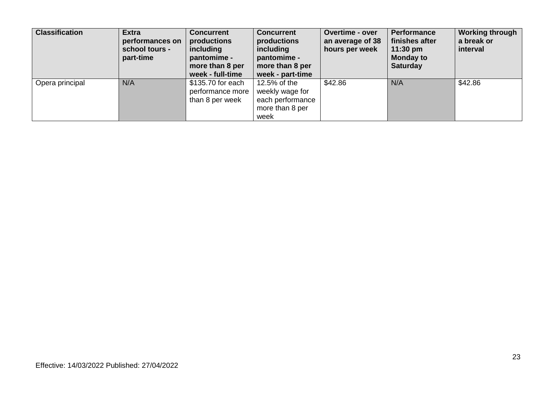| <b>Classification</b> | <b>Extra</b><br>performances on<br>school tours -<br>part-time | <b>Concurrent</b><br>productions<br>including<br>pantomime -<br>more than 8 per<br>week - full-time | <b>Concurrent</b><br>productions<br>including<br>pantomime -<br>more than 8 per<br>week - part-time | Overtime - over<br>an average of 38<br>hours per week | <b>Performance</b><br>finishes after<br>11:30 pm<br><b>Monday to</b><br><b>Saturday</b> | <b>Working through</b><br>a break or<br>interval |
|-----------------------|----------------------------------------------------------------|-----------------------------------------------------------------------------------------------------|-----------------------------------------------------------------------------------------------------|-------------------------------------------------------|-----------------------------------------------------------------------------------------|--------------------------------------------------|
| Opera principal       | N/A                                                            | \$135.70 for each<br>performance more<br>than 8 per week                                            | 12.5% of the<br>weekly wage for<br>each performance<br>more than 8 per<br>week                      | \$42.86                                               | N/A                                                                                     | \$42.86                                          |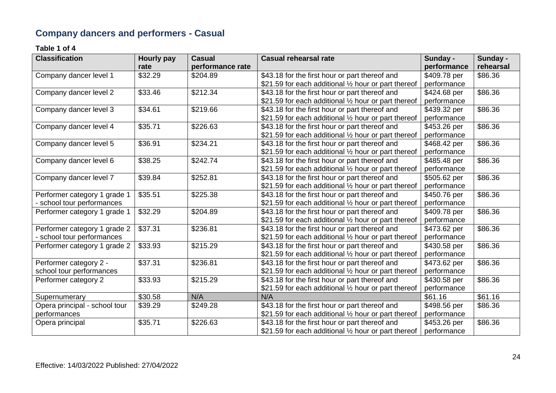## **Company dancers and performers - Casual**

#### **Table 1 of 4**

| <b>Classification</b>         | Hourly pay | <b>Casual</b>    | <b>Casual rehearsal rate</b>                         | Sunday -     | Sunday -  |
|-------------------------------|------------|------------------|------------------------------------------------------|--------------|-----------|
|                               | rate       | performance rate |                                                      | performance  | rehearsal |
| Company dancer level 1        | \$32.29    | \$204.89         | \$43.18 for the first hour or part thereof and       | \$409.78 per | \$86.36   |
|                               |            |                  | \$21.59 for each additional 1/2 hour or part thereof | performance  |           |
| Company dancer level 2        | \$33.46    | \$212.34         | \$43.18 for the first hour or part thereof and       | \$424.68 per | \$86.36   |
|                               |            |                  | \$21.59 for each additional 1/2 hour or part thereof | performance  |           |
| Company dancer level 3        | \$34.61    | \$219.66         | \$43.18 for the first hour or part thereof and       | \$439.32 per | \$86.36   |
|                               |            |                  | \$21.59 for each additional 1/2 hour or part thereof | performance  |           |
| Company dancer level 4        | \$35.71    | \$226.63         | \$43.18 for the first hour or part thereof and       | \$453.26 per | \$86.36   |
|                               |            |                  | \$21.59 for each additional 1/2 hour or part thereof | performance  |           |
| Company dancer level 5        | \$36.91    | \$234.21         | \$43.18 for the first hour or part thereof and       | \$468.42 per | \$86.36   |
|                               |            |                  | \$21.59 for each additional 1/2 hour or part thereof | performance  |           |
| Company dancer level 6        | \$38.25    | \$242.74         | \$43.18 for the first hour or part thereof and       | \$485.48 per | \$86.36   |
|                               |            |                  | \$21.59 for each additional 1/2 hour or part thereof | performance  |           |
| Company dancer level 7        | \$39.84    | \$252.81         | \$43.18 for the first hour or part thereof and       | \$505.62 per | \$86.36   |
|                               |            |                  | \$21.59 for each additional 1/2 hour or part thereof | performance  |           |
| Performer category 1 grade 1  | \$35.51    | \$225.38         | \$43.18 for the first hour or part thereof and       | \$450.76 per | \$86.36   |
| - school tour performances    |            |                  | \$21.59 for each additional 1/2 hour or part thereof | performance  |           |
| Performer category 1 grade 1  | \$32.29    | \$204.89         | \$43.18 for the first hour or part thereof and       | \$409.78 per | \$86.36   |
|                               |            |                  | \$21.59 for each additional 1/2 hour or part thereof | performance  |           |
| Performer category 1 grade 2  | \$37.31    | \$236.81         | \$43.18 for the first hour or part thereof and       | \$473.62 per | \$86.36   |
| - school tour performances    |            |                  | \$21.59 for each additional 1/2 hour or part thereof | performance  |           |
| Performer category 1 grade 2  | \$33.93    | \$215.29         | \$43.18 for the first hour or part thereof and       | \$430.58 per | \$86.36   |
|                               |            |                  | \$21.59 for each additional 1/2 hour or part thereof | performance  |           |
| Performer category 2 -        | \$37.31    | \$236.81         | \$43.18 for the first hour or part thereof and       | \$473.62 per | \$86.36   |
| school tour performances      |            |                  | \$21.59 for each additional 1/2 hour or part thereof | performance  |           |
| Performer category 2          | \$33.93    | \$215.29         | \$43.18 for the first hour or part thereof and       | \$430.58 per | \$86.36   |
|                               |            |                  | \$21.59 for each additional 1/2 hour or part thereof | performance  |           |
| Supernumerary                 | \$30.58    | N/A              | N/A                                                  | \$61.16      | \$61.16   |
| Opera principal - school tour | \$39.29    | \$249.28         | \$43.18 for the first hour or part thereof and       | \$498.56 per | \$86.36   |
| performances                  |            |                  | \$21.59 for each additional 1/2 hour or part thereof | performance  |           |
| Opera principal               | \$35.71    | \$226.63         | \$43.18 for the first hour or part thereof and       | \$453.26 per | \$86.36   |
|                               |            |                  | \$21.59 for each additional 1/2 hour or part thereof | performance  |           |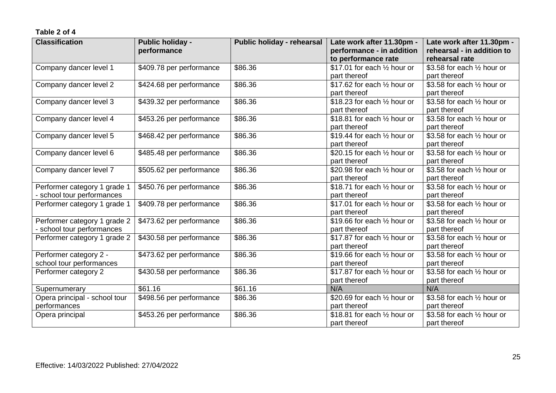| <b>Classification</b>         | <b>Public holiday -</b>  | Public holiday - rehearsal | Late work after 11.30pm -              | Late work after 11.30pm -             |
|-------------------------------|--------------------------|----------------------------|----------------------------------------|---------------------------------------|
|                               | performance              |                            | performance - in addition              | rehearsal - in addition to            |
|                               |                          |                            | to performance rate                    | rehearsal rate                        |
| Company dancer level 1        | \$409.78 per performance | \$86.36                    | \$17.01 for each $\frac{1}{2}$ hour or | \$3.58 for each $\frac{1}{2}$ hour or |
|                               |                          |                            | part thereof                           | part thereof                          |
| Company dancer level 2        | \$424.68 per performance | \$86.36                    | \$17.62 for each $\frac{1}{2}$ hour or | \$3.58 for each 1/2 hour or           |
|                               |                          |                            | part thereof                           | part thereof                          |
| Company dancer level 3        | \$439.32 per performance | \$86.36                    | \$18.23 for each 1/2 hour or           | \$3.58 for each 1/2 hour or           |
|                               |                          |                            | part thereof                           | part thereof                          |
| Company dancer level 4        | \$453.26 per performance | \$86.36                    | \$18.81 for each 1/2 hour or           | \$3.58 for each 1/2 hour or           |
|                               |                          |                            | part thereof                           | part thereof                          |
| Company dancer level 5        | \$468.42 per performance | \$86.36                    | \$19.44 for each $\frac{1}{2}$ hour or | \$3.58 for each $\frac{1}{2}$ hour or |
|                               |                          |                            | part thereof                           | part thereof                          |
| Company dancer level 6        | \$485.48 per performance | \$86.36                    | \$20.15 for each 1/2 hour or           | \$3.58 for each $\frac{1}{2}$ hour or |
|                               |                          |                            | part thereof                           | part thereof                          |
| Company dancer level 7        | \$505.62 per performance | \$86.36                    | \$20.98 for each $\frac{1}{2}$ hour or | \$3.58 for each 1/2 hour or           |
|                               |                          |                            | part thereof                           | part thereof                          |
| Performer category 1 grade 1  | \$450.76 per performance | \$86.36                    | \$18.71 for each 1/2 hour or           | \$3.58 for each 1/2 hour or           |
| school tour performances      |                          |                            | part thereof                           | part thereof                          |
| Performer category 1 grade 1  | \$409.78 per performance | \$86.36                    | \$17.01 for each $\frac{1}{2}$ hour or | \$3.58 for each 1/2 hour or           |
|                               |                          |                            | part thereof                           | part thereof                          |
| Performer category 1 grade 2  | \$473.62 per performance | \$86.36                    | \$19.66 for each $\frac{1}{2}$ hour or | \$3.58 for each $\frac{1}{2}$ hour or |
| - school tour performances    |                          |                            | part thereof                           | part thereof                          |
| Performer category 1 grade 2  | \$430.58 per performance | \$86.36                    | \$17.87 for each $\frac{1}{2}$ hour or | \$3.58 for each 1/2 hour or           |
|                               |                          |                            | part thereof                           | part thereof                          |
| Performer category 2 -        | \$473.62 per performance | \$86.36                    | \$19.66 for each 1/2 hour or           | \$3.58 for each 1/2 hour or           |
| school tour performances      |                          |                            | part thereof                           | part thereof                          |
| Performer category 2          | \$430.58 per performance | \$86.36                    | \$17.87 for each 1/2 hour or           | \$3.58 for each 1/2 hour or           |
|                               |                          |                            | part thereof                           | part thereof                          |
| Supernumerary                 | \$61.16                  | \$61.16                    | N/A                                    | N/A                                   |
| Opera principal - school tour | \$498.56 per performance | \$86.36                    | \$20.69 for each $\frac{1}{2}$ hour or | \$3.58 for each 1/2 hour or           |
| performances                  |                          |                            | part thereof                           | part thereof                          |
| Opera principal               | \$453.26 per performance | \$86.36                    | \$18.81 for each $\frac{1}{2}$ hour or | \$3.58 for each $\frac{1}{2}$ hour or |
|                               |                          |                            | part thereof                           | part thereof                          |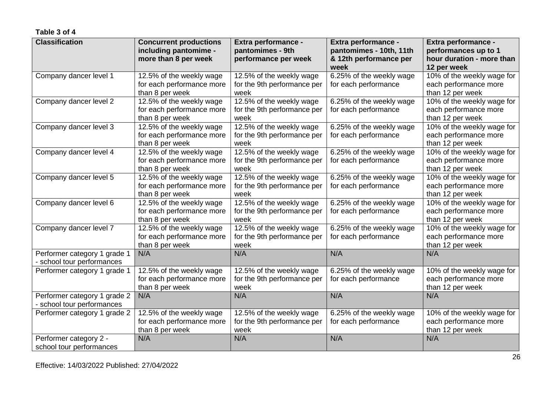| <b>Classification</b>                                    | <b>Concurrent productions</b><br>including pantomime -<br>more than 8 per week | Extra performance -<br>pantomimes - 9th<br>performance per week | Extra performance -<br>pantomimes - 10th, 11th<br>& 12th performance per<br>week | Extra performance -<br>performances up to 1<br>hour duration - more than<br>12 per week |
|----------------------------------------------------------|--------------------------------------------------------------------------------|-----------------------------------------------------------------|----------------------------------------------------------------------------------|-----------------------------------------------------------------------------------------|
| Company dancer level 1                                   | 12.5% of the weekly wage<br>for each performance more<br>than 8 per week       | 12.5% of the weekly wage<br>for the 9th performance per<br>week | 6.25% of the weekly wage<br>for each performance                                 | 10% of the weekly wage for<br>each performance more<br>than 12 per week                 |
| Company dancer level 2                                   | 12.5% of the weekly wage<br>for each performance more<br>than 8 per week       | 12.5% of the weekly wage<br>for the 9th performance per<br>week | 6.25% of the weekly wage<br>for each performance                                 | 10% of the weekly wage for<br>each performance more<br>than 12 per week                 |
| Company dancer level 3                                   | 12.5% of the weekly wage<br>for each performance more<br>than 8 per week       | 12.5% of the weekly wage<br>for the 9th performance per<br>week | 6.25% of the weekly wage<br>for each performance                                 | 10% of the weekly wage for<br>each performance more<br>than 12 per week                 |
| Company dancer level 4                                   | 12.5% of the weekly wage<br>for each performance more<br>than 8 per week       | 12.5% of the weekly wage<br>for the 9th performance per<br>week | 6.25% of the weekly wage<br>for each performance                                 | 10% of the weekly wage for<br>each performance more<br>than 12 per week                 |
| Company dancer level 5                                   | 12.5% of the weekly wage<br>for each performance more<br>than 8 per week       | 12.5% of the weekly wage<br>for the 9th performance per<br>week | 6.25% of the weekly wage<br>for each performance                                 | 10% of the weekly wage for<br>each performance more<br>than 12 per week                 |
| Company dancer level 6                                   | 12.5% of the weekly wage<br>for each performance more<br>than 8 per week       | 12.5% of the weekly wage<br>for the 9th performance per<br>week | 6.25% of the weekly wage<br>for each performance                                 | 10% of the weekly wage for<br>each performance more<br>than 12 per week                 |
| Company dancer level 7                                   | 12.5% of the weekly wage<br>for each performance more<br>than 8 per week       | 12.5% of the weekly wage<br>for the 9th performance per<br>week | 6.25% of the weekly wage<br>for each performance                                 | 10% of the weekly wage for<br>each performance more<br>than 12 per week                 |
| Performer category 1 grade 1<br>school tour performances | N/A                                                                            | N/A                                                             | N/A                                                                              | N/A                                                                                     |
| Performer category 1 grade 1                             | 12.5% of the weekly wage<br>for each performance more<br>than 8 per week       | 12.5% of the weekly wage<br>for the 9th performance per<br>week | 6.25% of the weekly wage<br>for each performance                                 | 10% of the weekly wage for<br>each performance more<br>than 12 per week                 |
| Performer category 1 grade 2<br>school tour performances | N/A                                                                            | N/A                                                             | N/A                                                                              | N/A                                                                                     |
| Performer category 1 grade 2                             | 12.5% of the weekly wage<br>for each performance more<br>than 8 per week       | 12.5% of the weekly wage<br>for the 9th performance per<br>week | 6.25% of the weekly wage<br>for each performance                                 | 10% of the weekly wage for<br>each performance more<br>than 12 per week                 |
| Performer category 2 -<br>school tour performances       | N/A                                                                            | N/A                                                             | N/A                                                                              | N/A                                                                                     |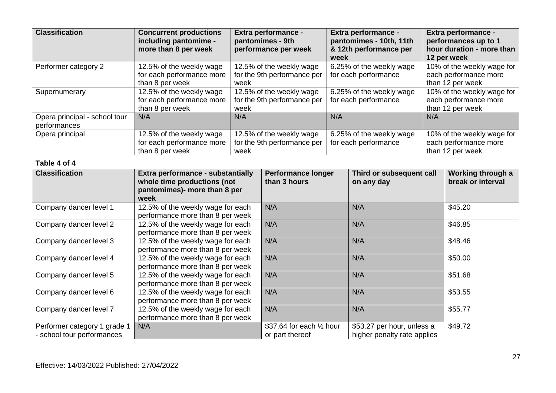| <b>Classification</b>         | <b>Concurrent productions</b><br>including pantomime -<br>more than 8 per week | Extra performance -<br>pantomimes - 9th<br>performance per week | Extra performance -<br>pantomimes - 10th, 11th<br>& 12th performance per<br>week | <b>Extra performance -</b><br>performances up to 1<br>hour duration - more than<br>12 per week |
|-------------------------------|--------------------------------------------------------------------------------|-----------------------------------------------------------------|----------------------------------------------------------------------------------|------------------------------------------------------------------------------------------------|
| Performer category 2          | 12.5% of the weekly wage                                                       | 12.5% of the weekly wage                                        | 6.25% of the weekly wage                                                         | 10% of the weekly wage for                                                                     |
|                               | for each performance more                                                      | for the 9th performance per                                     | for each performance                                                             | each performance more                                                                          |
|                               | than 8 per week                                                                | week                                                            |                                                                                  | than 12 per week                                                                               |
| Supernumerary                 | 12.5% of the weekly wage                                                       | 12.5% of the weekly wage                                        | 6.25% of the weekly wage                                                         | 10% of the weekly wage for                                                                     |
|                               | for each performance more                                                      | for the 9th performance per                                     | for each performance                                                             | each performance more                                                                          |
|                               | than 8 per week                                                                | week                                                            |                                                                                  | than 12 per week                                                                               |
| Opera principal - school tour | N/A                                                                            | N/A                                                             | N/A                                                                              | N/A                                                                                            |
| performances                  |                                                                                |                                                                 |                                                                                  |                                                                                                |
| Opera principal               | 12.5% of the weekly wage                                                       | 12.5% of the weekly wage                                        | 6.25% of the weekly wage                                                         | 10% of the weekly wage for                                                                     |
|                               | for each performance more                                                      | for the 9th performance per                                     | for each performance                                                             | each performance more                                                                          |
|                               | than 8 per week                                                                | week                                                            |                                                                                  | than 12 per week                                                                               |

#### **Table 4 of 4**

| <b>Classification</b>                                      | Extra performance - substantially<br>whole time productions (not<br>pantomimes)- more than 8 per<br>week | <b>Performance longer</b><br>than 3 hours              | Third or subsequent call<br>on any day                    | Working through a<br>break or interval |
|------------------------------------------------------------|----------------------------------------------------------------------------------------------------------|--------------------------------------------------------|-----------------------------------------------------------|----------------------------------------|
| Company dancer level 1                                     | 12.5% of the weekly wage for each<br>performance more than 8 per week                                    | N/A                                                    | N/A                                                       | \$45.20                                |
| Company dancer level 2                                     | 12.5% of the weekly wage for each<br>performance more than 8 per week                                    | N/A                                                    | N/A                                                       | \$46.85                                |
| Company dancer level 3                                     | 12.5% of the weekly wage for each<br>performance more than 8 per week                                    | N/A                                                    | N/A                                                       | \$48.46                                |
| Company dancer level 4                                     | 12.5% of the weekly wage for each<br>performance more than 8 per week                                    | N/A                                                    | N/A                                                       | \$50.00                                |
| Company dancer level 5                                     | 12.5% of the weekly wage for each<br>performance more than 8 per week                                    | N/A                                                    | N/A                                                       | \$51.68                                |
| Company dancer level 6                                     | 12.5% of the weekly wage for each<br>performance more than 8 per week                                    | N/A                                                    | N/A                                                       | \$53.55                                |
| Company dancer level 7                                     | 12.5% of the weekly wage for each<br>performance more than 8 per week                                    | N/A                                                    | N/A                                                       | \$55.77                                |
| Performer category 1 grade 1<br>- school tour performances | N/A                                                                                                      | \$37.64 for each $\frac{1}{2}$ hour<br>or part thereof | \$53.27 per hour, unless a<br>higher penalty rate applies | \$49.72                                |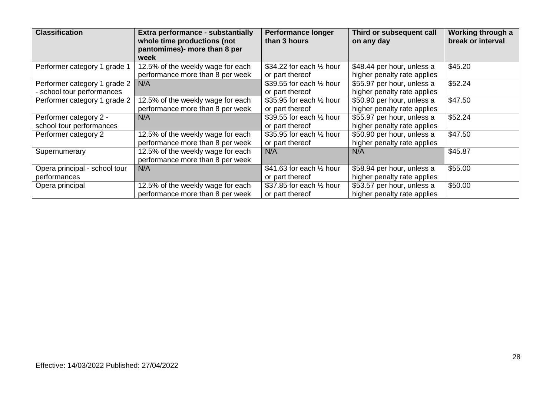| <b>Classification</b>                                      | Extra performance - substantially<br>whole time productions (not<br>pantomimes)- more than 8 per<br>week | <b>Performance longer</b><br>than 3 hours              | Third or subsequent call<br>on any day                    | Working through a<br>break or interval |
|------------------------------------------------------------|----------------------------------------------------------------------------------------------------------|--------------------------------------------------------|-----------------------------------------------------------|----------------------------------------|
| Performer category 1 grade 1                               | 12.5% of the weekly wage for each<br>performance more than 8 per week                                    | \$34.22 for each $\frac{1}{2}$ hour<br>or part thereof | \$48.44 per hour, unless a<br>higher penalty rate applies | \$45.20                                |
| Performer category 1 grade 2<br>- school tour performances | N/A                                                                                                      | \$39.55 for each $\frac{1}{2}$ hour<br>or part thereof | \$55.97 per hour, unless a<br>higher penalty rate applies | \$52.24                                |
| Performer category 1 grade 2                               | 12.5% of the weekly wage for each<br>performance more than 8 per week                                    | \$35.95 for each 1/2 hour<br>or part thereof           | \$50.90 per hour, unless a<br>higher penalty rate applies | \$47.50                                |
| Performer category 2 -<br>school tour performances         | N/A                                                                                                      | \$39.55 for each $\frac{1}{2}$ hour<br>or part thereof | \$55.97 per hour, unless a<br>higher penalty rate applies | \$52.24                                |
| Performer category 2                                       | 12.5% of the weekly wage for each<br>performance more than 8 per week                                    | \$35.95 for each 1/2 hour<br>or part thereof           | \$50.90 per hour, unless a<br>higher penalty rate applies | \$47.50                                |
| Supernumerary                                              | 12.5% of the weekly wage for each<br>performance more than 8 per week                                    | N/A                                                    | N/A                                                       | \$45.87                                |
| Opera principal - school tour<br>performances              | N/A                                                                                                      | \$41.63 for each $\frac{1}{2}$ hour<br>or part thereof | \$58.94 per hour, unless a<br>higher penalty rate applies | \$55.00                                |
| Opera principal                                            | 12.5% of the weekly wage for each<br>performance more than 8 per week                                    | \$37.85 for each $\frac{1}{2}$ hour<br>or part thereof | \$53.57 per hour, unless a<br>higher penalty rate applies | \$50.00                                |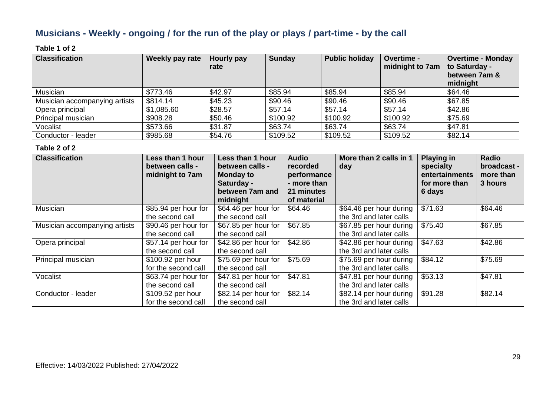## **Musicians - Weekly - ongoing / for the run of the play or plays / part-time - by the call**

#### **Table 1 of 2**

| <b>Classification</b>         | Weekly pay rate | Hourly pay<br>rate | <b>Sunday</b> | <b>Public holiday</b> | Overtime -<br>midnight to 7am | <b>Overtime - Monday</b><br>to Saturday -<br>between 7am &<br>midnight |
|-------------------------------|-----------------|--------------------|---------------|-----------------------|-------------------------------|------------------------------------------------------------------------|
| Musician                      | \$773.46        | \$42.97            | \$85.94       | \$85.94               | \$85.94                       | \$64.46                                                                |
| Musician accompanying artists | \$814.14        | \$45.23            | \$90.46       | \$90.46               | \$90.46                       | \$67.85                                                                |
| Opera principal               | \$1,085.60      | \$28.57            | \$57.14       | \$57.14               | \$57.14                       | \$42.86                                                                |
| Principal musician            | \$908.28        | \$50.46            | \$100.92      | \$100.92              | \$100.92                      | \$75.69                                                                |
| Vocalist                      | \$573.66        | \$31.87            | \$63.74       | \$63.74               | \$63.74                       | \$47.81                                                                |
| Conductor - leader            | \$985.68        | \$54.76            | \$109.52      | \$109.52              | \$109.52                      | \$82.14                                                                |

| <b>Classification</b>         | Less than 1 hour<br>between calls -<br>midnight to 7am | Less than 1 hour<br>between calls -<br><b>Monday to</b><br>Saturday -<br>between 7am and<br>midnight | <b>Audio</b><br>recorded<br>performance<br>- more than<br>21 minutes<br>of material | More than 2 calls in 1<br>day                      | <b>Playing in</b><br>specialty<br>entertainments<br>for more than<br>6 days | Radio<br>broadcast -<br>more than<br>3 hours |
|-------------------------------|--------------------------------------------------------|------------------------------------------------------------------------------------------------------|-------------------------------------------------------------------------------------|----------------------------------------------------|-----------------------------------------------------------------------------|----------------------------------------------|
| Musician                      | \$85.94 per hour for<br>the second call                | \$64.46 per hour for<br>the second call                                                              | \$64.46                                                                             | \$64.46 per hour during<br>the 3rd and later calls | \$71.63                                                                     | \$64.46                                      |
| Musician accompanying artists | \$90.46 per hour for<br>the second call                | \$67.85 per hour for<br>the second call                                                              | \$67.85                                                                             | \$67.85 per hour during<br>the 3rd and later calls | \$75.40                                                                     | \$67.85                                      |
| Opera principal               | \$57.14 per hour for<br>the second call                | \$42.86 per hour for<br>the second call                                                              | \$42.86                                                                             | \$42.86 per hour during<br>the 3rd and later calls | \$47.63                                                                     | \$42.86                                      |
| Principal musician            | \$100.92 per hour<br>for the second call               | \$75.69 per hour for<br>the second call                                                              | \$75.69                                                                             | \$75.69 per hour during<br>the 3rd and later calls | \$84.12                                                                     | \$75.69                                      |
| Vocalist                      | \$63.74 per hour for<br>the second call                | \$47.81 per hour for<br>the second call                                                              | \$47.81                                                                             | \$47.81 per hour during<br>the 3rd and later calls | \$53.13                                                                     | \$47.81                                      |
| Conductor - leader            | \$109.52 per hour<br>for the second call               | \$82.14 per hour for<br>the second call                                                              | \$82.14                                                                             | \$82.14 per hour during<br>the 3rd and later calls | \$91.28                                                                     | \$82.14                                      |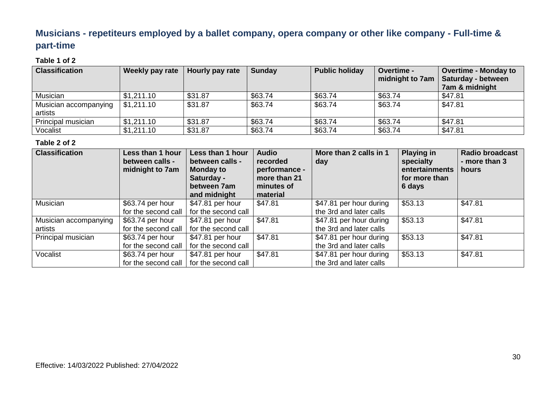## **Musicians - repetiteurs employed by a ballet company, opera company or other like company - Full-time & part-time**

#### **Table 1 of 2**

| <b>Classification</b> | Weekly pay rate | Hourly pay rate | <b>Sunday</b> | <b>Public holiday</b> | <b>Overtime -</b><br>midnight to 7am | <b>Overtime - Monday to</b><br><b>Saturday - between</b> |
|-----------------------|-----------------|-----------------|---------------|-----------------------|--------------------------------------|----------------------------------------------------------|
|                       |                 |                 |               |                       |                                      | 7am & midnight                                           |
| Musician              | \$1,211.10      | \$31.87         | \$63.74       | \$63.74               | \$63.74                              | \$47.81                                                  |
| Musician accompanying | \$1,211.10      | \$31.87         | \$63.74       | \$63.74               | \$63.74                              | \$47.81                                                  |
| artists               |                 |                 |               |                       |                                      |                                                          |
| Principal musician    | \$1,211.10      | \$31.87         | \$63.74       | \$63.74               | \$63.74                              | \$47.81                                                  |
| Vocalist              | \$1,211.10      | \$31.87         | \$63.74       | \$63.74               | \$63.74                              | \$47.81                                                  |

| <b>Classification</b> | <b>Less than 1 hour</b><br>between calls -<br>midnight to 7am | Less than 1 hour<br>between calls -<br><b>Monday to</b><br>Saturday -<br>between 7am<br>and midnight | <b>Audio</b><br>recorded<br>performance -<br>more than 21<br>minutes of<br>material | More than 2 calls in 1<br>day | <b>Playing in</b><br>specialty<br>entertainments<br>for more than<br>6 days | <b>Radio broadcast</b><br>- more than 3<br>hours |
|-----------------------|---------------------------------------------------------------|------------------------------------------------------------------------------------------------------|-------------------------------------------------------------------------------------|-------------------------------|-----------------------------------------------------------------------------|--------------------------------------------------|
| Musician              | \$63.74 per hour                                              | \$47.81 per hour                                                                                     | \$47.81                                                                             | \$47.81 per hour during       | \$53.13                                                                     | \$47.81                                          |
|                       | for the second call                                           | for the second call                                                                                  |                                                                                     | the 3rd and later calls       |                                                                             |                                                  |
| Musician accompanying | \$63.74 per hour                                              | \$47.81 per hour                                                                                     | \$47.81                                                                             | \$47.81 per hour during       | \$53.13                                                                     | \$47.81                                          |
| artists               | for the second call                                           | for the second call                                                                                  |                                                                                     | the 3rd and later calls       |                                                                             |                                                  |
| Principal musician    | \$63.74 per hour                                              | \$47.81 per hour                                                                                     | \$47.81                                                                             | \$47.81 per hour during       | \$53.13                                                                     | \$47.81                                          |
|                       | for the second call                                           | for the second call                                                                                  |                                                                                     | the 3rd and later calls       |                                                                             |                                                  |
| Vocalist              | \$63.74 per hour                                              | \$47.81 per hour                                                                                     | \$47.81                                                                             | \$47.81 per hour during       | \$53.13                                                                     | \$47.81                                          |
|                       | for the second call                                           | for the second call                                                                                  |                                                                                     | the 3rd and later calls       |                                                                             |                                                  |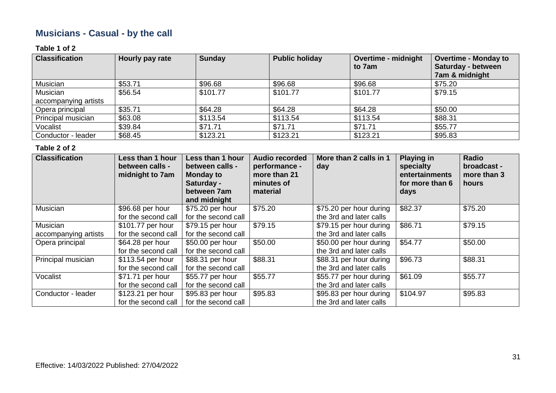## **Musicians - Casual - by the call**

#### **Table 1 of 2**

| <b>Classification</b> | Hourly pay rate | <b>Sunday</b> | <b>Public holiday</b> | <b>Overtime - midnight</b><br>to 7am | <b>Overtime - Monday to</b><br>Saturday - between<br>7am & midnight |
|-----------------------|-----------------|---------------|-----------------------|--------------------------------------|---------------------------------------------------------------------|
| Musician              | \$53.71         | \$96.68       | \$96.68               | \$96.68                              | \$75.20                                                             |
| Musician              | \$56.54         | \$101.77      | \$101.77              | \$101.77                             | \$79.15                                                             |
| accompanying artists  |                 |               |                       |                                      |                                                                     |
| Opera principal       | \$35.71         | \$64.28       | \$64.28               | \$64.28                              | \$50.00                                                             |
| Principal musician    | \$63.08         | \$113.54      | \$113.54              | \$113.54                             | \$88.31                                                             |
| Vocalist              | \$39.84         | \$71.71       | \$71.71               | \$71.71                              | \$55.77                                                             |
| Conductor - leader    | \$68.45         | \$123.21      | \$123.21              | \$123.21                             | \$95.83                                                             |

| <b>Classification</b> | Less than 1 hour<br>between calls -<br>midnight to 7am | Less than 1 hour<br>between calls -<br><b>Monday to</b><br>Saturday -<br>between 7am<br>and midnight | <b>Audio recorded</b><br>performance -<br>more than 21<br>minutes of<br>material | More than 2 calls in 1<br>day | <b>Playing in</b><br>specialty<br>entertainments<br>for more than 6<br>days | Radio<br>broadcast -<br>more than 3<br><b>hours</b> |
|-----------------------|--------------------------------------------------------|------------------------------------------------------------------------------------------------------|----------------------------------------------------------------------------------|-------------------------------|-----------------------------------------------------------------------------|-----------------------------------------------------|
| Musician              | \$96.68 per hour                                       | \$75.20 per hour                                                                                     | \$75.20                                                                          | \$75.20 per hour during       | \$82.37                                                                     | \$75.20                                             |
|                       | for the second call                                    | for the second call                                                                                  |                                                                                  | the 3rd and later calls       |                                                                             |                                                     |
| Musician              | \$101.77 per hour                                      | \$79.15 per hour                                                                                     | \$79.15                                                                          | \$79.15 per hour during       | \$86.71                                                                     | \$79.15                                             |
| accompanying artists  | for the second call                                    | for the second call                                                                                  |                                                                                  | the 3rd and later calls       |                                                                             |                                                     |
| Opera principal       | \$64.28 per hour                                       | \$50.00 per hour                                                                                     | \$50.00                                                                          | \$50.00 per hour during       | \$54.77                                                                     | \$50.00                                             |
|                       | for the second call                                    | for the second call                                                                                  |                                                                                  | the 3rd and later calls       |                                                                             |                                                     |
| Principal musician    | \$113.54 per hour                                      | \$88.31 per hour                                                                                     | \$88.31                                                                          | \$88.31 per hour during       | \$96.73                                                                     | \$88.31                                             |
|                       | for the second call                                    | for the second call                                                                                  |                                                                                  | the 3rd and later calls       |                                                                             |                                                     |
| Vocalist              | \$71.71 per hour                                       | \$55.77 per hour                                                                                     | \$55.77                                                                          | \$55.77 per hour during       | \$61.09                                                                     | \$55.77                                             |
|                       | for the second call                                    | for the second call                                                                                  |                                                                                  | the 3rd and later calls       |                                                                             |                                                     |
| Conductor - leader    | \$123.21 per hour                                      | \$95.83 per hour                                                                                     | \$95.83                                                                          | \$95.83 per hour during       | \$104.97                                                                    | \$95.83                                             |
|                       | for the second call                                    | for the second call                                                                                  |                                                                                  | the 3rd and later calls       |                                                                             |                                                     |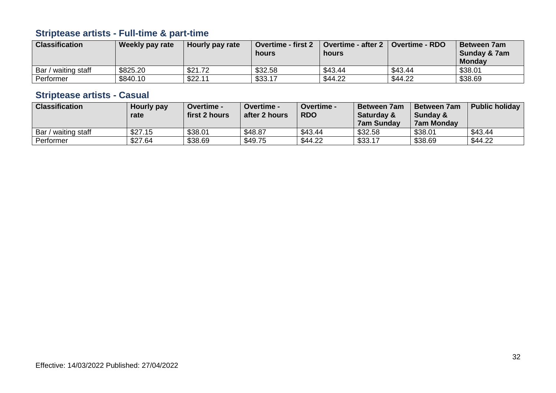## **Striptease artists - Full-time & part-time**

| <b>Classification</b> | Weekly pay rate | Hourly pay rate | <b>Overtime - first 2</b><br>hours | <b>Overtime - after 2</b><br>hours | Overtime - RDO | <b>Between 7am</b><br>Sunday & 7am<br><b>Monday</b> |
|-----------------------|-----------------|-----------------|------------------------------------|------------------------------------|----------------|-----------------------------------------------------|
| Bar / waiting staff   | \$825.20        | \$21.72         | \$32.58                            | \$43.44                            | \$43.44        | \$38.01                                             |
| Performer             | \$840.10        | \$22.11         | \$33.17                            | \$44.22                            | \$44.22        | \$38.69                                             |

## **Striptease artists - Casual**

| <b>Classification</b> | Hourly pay<br>rate | <b>Overtime -</b><br>first 2 hours | <b>Overtime -</b><br>after 2 hours | <b>Overtime -</b><br><b>RDO</b> | l Between 7am<br><b>Saturday &amp;</b><br>  7am Sundav | <b>Between 7am</b><br><b>Sunday &amp;</b><br><b>7am Monday</b> | <b>Public holiday</b> |
|-----------------------|--------------------|------------------------------------|------------------------------------|---------------------------------|--------------------------------------------------------|----------------------------------------------------------------|-----------------------|
| Bar / waiting staff   | \$27.15            | \$38.01                            | \$48.87                            | \$43.44                         | \$32.58                                                | \$38.01                                                        | \$43.44               |
| Performer             | \$27.64            | \$38.69                            | \$49.75                            | \$44.22                         | \$33.17                                                | \$38.69                                                        | \$44.22               |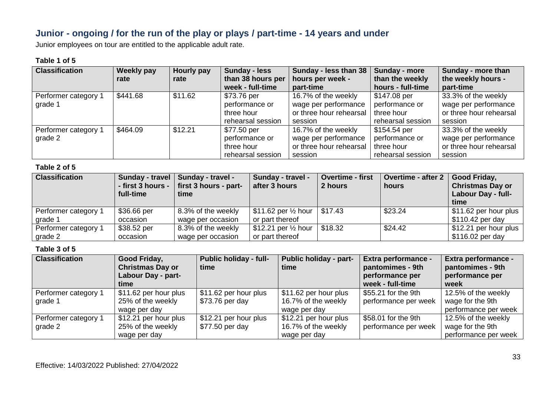## **Junior - ongoing / for the run of the play or plays / part-time - 14 years and under**

Junior employees on tour are entitled to the applicable adult rate.

#### **Table 1 of 5**

| <b>Classification</b>           | Weekly pay<br>rate | Hourly pay<br>rate | <b>Sunday - less</b><br>than 38 hours per<br>week - full-time    | Sunday - less than 38   Sunday - more<br>hours per week -<br>part-time            | than the weekly<br>hours - full-time                              | Sunday - more than<br>the weekly hours -<br>part-time                             |
|---------------------------------|--------------------|--------------------|------------------------------------------------------------------|-----------------------------------------------------------------------------------|-------------------------------------------------------------------|-----------------------------------------------------------------------------------|
| Performer category 1<br>grade 1 | \$441.68           | \$11.62            | \$73.76 per<br>performance or<br>three hour<br>rehearsal session | 16.7% of the weekly<br>wage per performance<br>or three hour rehearsal<br>session | \$147.08 per<br>performance or<br>three hour<br>rehearsal session | 33.3% of the weekly<br>wage per performance<br>or three hour rehearsal<br>session |
| Performer category 1<br>grade 2 | \$464.09           | \$12.21            | \$77.50 per<br>performance or<br>three hour<br>rehearsal session | 16.7% of the weekly<br>wage per performance<br>or three hour rehearsal<br>session | \$154.54 per<br>performance or<br>three hour<br>rehearsal session | 33.3% of the weekly<br>wage per performance<br>or three hour rehearsal<br>session |

#### **Table 2 of 5**

| <b>Classification</b> | - first 3 hours -<br>full-time | Sunday - travel   Sunday - travel -<br>first 3 hours - part-<br>time | Sunday - travel -<br>after 3 hours       | <b>Overtime - first</b><br>2 hours | <b>Overtime - after 2</b><br>hours | Good Friday,<br><b>Christmas Day or</b><br>Labour Day - full-<br>time |
|-----------------------|--------------------------------|----------------------------------------------------------------------|------------------------------------------|------------------------------------|------------------------------------|-----------------------------------------------------------------------|
| Performer category 1  | \$36.66 per                    | 8.3% of the weekly                                                   | \$11.62 per $\frac{1}{2}$ hour   \$17.43 |                                    | \$23.24                            | \$11.62 per hour plus                                                 |
| grade 1               | occasion                       | wage per occasion                                                    | or part thereof                          |                                    |                                    | \$110.42 per day                                                      |
| Performer category 1  | \$38.52 per                    | 8.3% of the weekly                                                   | \$12.21 per $\frac{1}{2}$ hour           | \$18.32                            | \$24.42                            | \$12.21 per hour plus                                                 |
| grade 2               | occasion                       | wage per occasion                                                    | or part thereof                          |                                    |                                    | \$116.02 per day                                                      |

| <b>Classification</b>           | Good Friday,<br><b>Christmas Day or</b><br>Labour Day - part-<br>time | <b>Public holiday - full-</b><br>time    | <b>Public holiday - part-</b><br>time                        | <b>Extra performance -</b><br>pantomimes - 9th<br>performance per<br>week - full-time | <b>Extra performance -</b><br>pantomimes - 9th<br>performance per<br>week |
|---------------------------------|-----------------------------------------------------------------------|------------------------------------------|--------------------------------------------------------------|---------------------------------------------------------------------------------------|---------------------------------------------------------------------------|
| Performer category 1<br>grade 1 | \$11.62 per hour plus<br>25% of the weekly<br>wage per day            | \$11.62 per hour plus<br>\$73.76 per day | \$11.62 per hour plus<br>16.7% of the weekly<br>wage per day | \$55.21 for the 9th<br>performance per week                                           | 12.5% of the weekly<br>wage for the 9th<br>performance per week           |
| Performer category 1<br>grade 2 | \$12.21 per hour plus<br>25% of the weekly<br>wage per day            | \$12.21 per hour plus<br>\$77.50 per day | \$12.21 per hour plus<br>16.7% of the weekly<br>wage per day | \$58.01 for the 9th<br>performance per week                                           | 12.5% of the weekly<br>wage for the 9th<br>performance per week           |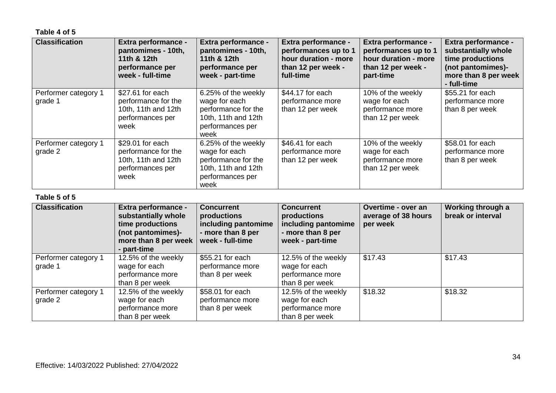**Table 4 of 5**

| <b>Classification</b>           | Extra performance -<br>pantomimes - 10th,<br>11th & 12th<br>performance per<br>week - full-time | Extra performance -<br>pantomimes - 10th,<br>11th & 12th<br>performance per<br>week - part-time                | Extra performance -<br>performances up to 1<br>hour duration - more<br>than 12 per week -<br>full-time | Extra performance -<br>performances up to 1<br>hour duration - more<br>than 12 per week -<br>part-time | Extra performance -<br>substantially whole<br>time productions<br>(not pantomimes)-<br>more than 8 per week<br>- full-time |
|---------------------------------|-------------------------------------------------------------------------------------------------|----------------------------------------------------------------------------------------------------------------|--------------------------------------------------------------------------------------------------------|--------------------------------------------------------------------------------------------------------|----------------------------------------------------------------------------------------------------------------------------|
| Performer category 1<br>grade 1 | \$27.61 for each<br>performance for the<br>10th, 11th and 12th<br>performances per<br>week      | 6.25% of the weekly<br>wage for each<br>performance for the<br>10th, 11th and 12th<br>performances per<br>week | \$44.17 for each<br>performance more<br>than 12 per week                                               | 10% of the weekly<br>wage for each<br>performance more<br>than 12 per week                             | \$55.21 for each<br>performance more<br>than 8 per week                                                                    |
| Performer category 1<br>grade 2 | \$29.01 for each<br>performance for the<br>10th, 11th and 12th<br>performances per<br>week      | 6.25% of the weekly<br>wage for each<br>performance for the<br>10th, 11th and 12th<br>performances per<br>week | \$46.41 for each<br>performance more<br>than 12 per week                                               | 10% of the weekly<br>wage for each<br>performance more<br>than 12 per week                             | \$58.01 for each<br>performance more<br>than 8 per week                                                                    |

#### **Table 5 of 5**

| <b>Classification</b>           | <b>Extra performance -</b><br>substantially whole<br>time productions<br>(not pantomimes)-<br>more than 8 per week<br>- part-time | <b>Concurrent</b><br>productions<br>including pantomime<br>- more than 8 per<br>week - full-time | <b>Concurrent</b><br>productions<br>including pantomime<br>- more than 8 per<br>week - part-time | Overtime - over an<br>average of 38 hours<br>per week | Working through a<br>break or interval |
|---------------------------------|-----------------------------------------------------------------------------------------------------------------------------------|--------------------------------------------------------------------------------------------------|--------------------------------------------------------------------------------------------------|-------------------------------------------------------|----------------------------------------|
| Performer category 1<br>grade 1 | 12.5% of the weekly<br>wage for each<br>performance more<br>than 8 per week                                                       | \$55.21 for each<br>performance more<br>than 8 per week                                          | 12.5% of the weekly<br>wage for each<br>performance more<br>than 8 per week                      | \$17.43                                               | \$17.43                                |
| Performer category 1<br>grade 2 | 12.5% of the weekly<br>wage for each<br>performance more<br>than 8 per week                                                       | \$58.01 for each<br>performance more<br>than 8 per week                                          | 12.5% of the weekly<br>wage for each<br>performance more<br>than 8 per week                      | \$18.32                                               | \$18.32                                |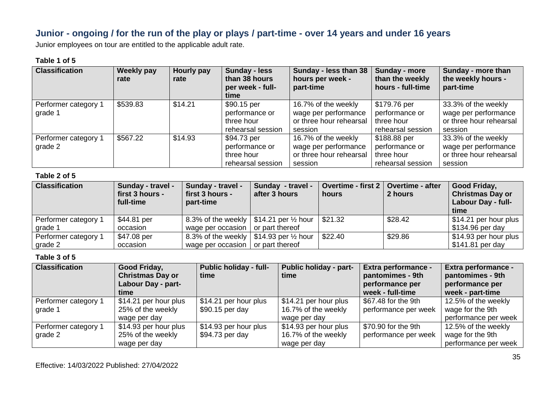## **Junior - ongoing / for the run of the play or plays / part-time - over 14 years and under 16 years**

Junior employees on tour are entitled to the applicable adult rate.

#### **Table 1 of 5**

| <b>Classification</b>           | <b>Weekly pay</b><br>rate | Hourly pay<br>rate | Sunday - less<br>than 38 hours<br>per week - full-<br>time       | Sunday - less than 38<br>hours per week -<br>part-time                            | Sunday - more<br>than the weekly<br>hours - full-time             | Sunday - more than<br>the weekly hours -<br>part-time                             |
|---------------------------------|---------------------------|--------------------|------------------------------------------------------------------|-----------------------------------------------------------------------------------|-------------------------------------------------------------------|-----------------------------------------------------------------------------------|
| Performer category 1<br>grade 1 | \$539.83                  | \$14.21            | \$90.15 per<br>performance or<br>three hour<br>rehearsal session | 16.7% of the weekly<br>wage per performance<br>or three hour rehearsal<br>session | \$179.76 per<br>performance or<br>three hour<br>rehearsal session | 33.3% of the weekly<br>wage per performance<br>or three hour rehearsal<br>session |
| Performer category 1<br>grade 2 | \$567.22                  | \$14.93            | \$94.73 per<br>performance or<br>three hour<br>rehearsal session | 16.7% of the weekly<br>wage per performance<br>or three hour rehearsal<br>session | \$188.88 per<br>performance or<br>three hour<br>rehearsal session | 33.3% of the weekly<br>wage per performance<br>or three hour rehearsal<br>session |

#### **Table 2 of 5**

| <b>Classification</b> | <b>Sunday - travel -</b><br>first 3 hours -<br>full-time | <b>Sunday - travel -</b><br>first 3 hours -<br>part-time | Sunday - travel -<br>after 3 hours                        | Overtime - first 2   Overtime - after<br>hours | 2 hours | Good Friday,<br><b>Christmas Day or</b><br><b>Labour Day - full-</b><br>time |
|-----------------------|----------------------------------------------------------|----------------------------------------------------------|-----------------------------------------------------------|------------------------------------------------|---------|------------------------------------------------------------------------------|
| Performer category 1  | \$44.81 per                                              |                                                          | 8.3% of the weekly $\vert$ \$14.21 per $\frac{1}{2}$ hour | \$21.32                                        | \$28.42 | \$14.21 per hour plus                                                        |
| grade 1               | occasion                                                 | wage per occasion $\vert$ or part thereof                |                                                           |                                                |         | \$134.96 per day                                                             |
| Performer category 1  | \$47.08 per                                              |                                                          | 8.3% of the weekly   \$14.93 per $\frac{1}{2}$ hour       | \$22.40                                        | \$29.86 | \$14.93 per hour plus                                                        |
| grade 2               | occasion                                                 | wage per occasion                                        | or part thereof                                           |                                                |         | \$141.81 per day                                                             |

| <b>Classification</b>           | Good Friday,<br><b>Christmas Day or</b><br>Labour Day - part-<br>time | Public holiday - full-<br>time            | <b>Public holiday - part-</b><br>time                        | <b>Extra performance -</b><br>pantomimes - 9th<br>performance per<br>week - full-time | <b>Extra performance -</b><br>pantomimes - 9th<br>performance per<br>week - part-time |
|---------------------------------|-----------------------------------------------------------------------|-------------------------------------------|--------------------------------------------------------------|---------------------------------------------------------------------------------------|---------------------------------------------------------------------------------------|
| Performer category 1<br>grade 1 | \$14.21 per hour plus<br>25% of the weekly<br>wage per day            | \$14.21 per hour plus<br>$$90.15$ per day | \$14.21 per hour plus<br>16.7% of the weekly<br>wage per day | \$67.48 for the 9th<br>performance per week                                           | 12.5% of the weekly<br>wage for the 9th<br>performance per week                       |
| Performer category 1<br>grade 2 | \$14.93 per hour plus<br>25% of the weekly<br>wage per day            | \$14.93 per hour plus<br>\$94.73 per day  | \$14.93 per hour plus<br>16.7% of the weekly<br>wage per day | \$70.90 for the 9th<br>performance per week                                           | 12.5% of the weekly<br>wage for the 9th<br>performance per week                       |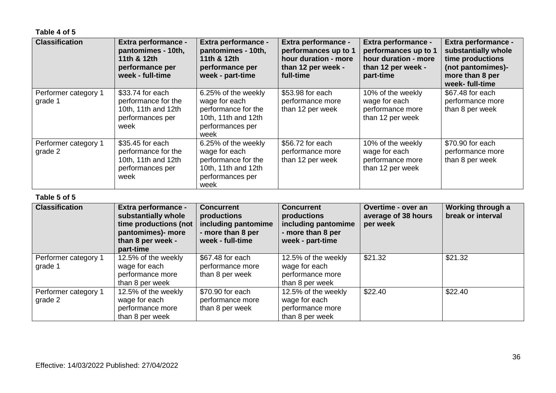**Table 4 of 5**

| <b>Classification</b>           | <b>Extra performance -</b><br>pantomimes - 10th,<br>11th & 12th<br>performance per<br>week - full-time | Extra performance -<br>pantomimes - 10th,<br>11th & 12th<br>performance per<br>week - part-time                | Extra performance -<br>performances up to 1<br>hour duration - more<br>than 12 per week -<br>full-time | Extra performance -<br>performances up to 1<br>hour duration - more<br>than 12 per week -<br>part-time | Extra performance -<br>substantially whole<br>time productions<br>(not pantomimes)-<br>more than 8 per<br>week- full-time |
|---------------------------------|--------------------------------------------------------------------------------------------------------|----------------------------------------------------------------------------------------------------------------|--------------------------------------------------------------------------------------------------------|--------------------------------------------------------------------------------------------------------|---------------------------------------------------------------------------------------------------------------------------|
| Performer category 1<br>grade 1 | \$33.74 for each<br>performance for the<br>10th, 11th and 12th<br>performances per<br>week             | 6.25% of the weekly<br>wage for each<br>performance for the<br>10th, 11th and 12th<br>performances per<br>week | \$53.98 for each<br>performance more<br>than 12 per week                                               | 10% of the weekly<br>wage for each<br>performance more<br>than 12 per week                             | \$67.48 for each<br>performance more<br>than 8 per week                                                                   |
| Performer category 1<br>grade 2 | \$35.45 for each<br>performance for the<br>10th, 11th and 12th<br>performances per<br>week             | 6.25% of the weekly<br>wage for each<br>performance for the<br>10th, 11th and 12th<br>performances per<br>week | \$56.72 for each<br>performance more<br>than 12 per week                                               | 10% of the weekly<br>wage for each<br>performance more<br>than 12 per week                             | \$70.90 for each<br>performance more<br>than 8 per week                                                                   |

#### **Table 5 of 5**

| <b>Classification</b>           | <b>Extra performance -</b><br>substantially whole<br>time productions (not<br>pantomimes)- more<br>than 8 per week -<br>part-time | <b>Concurrent</b><br>productions<br>including pantomime<br>- more than 8 per<br>week - full-time | <b>Concurrent</b><br>productions<br>including pantomime<br>- more than 8 per<br>week - part-time | Overtime - over an<br>average of 38 hours<br>per week | Working through a<br>break or interval |
|---------------------------------|-----------------------------------------------------------------------------------------------------------------------------------|--------------------------------------------------------------------------------------------------|--------------------------------------------------------------------------------------------------|-------------------------------------------------------|----------------------------------------|
| Performer category 1<br>grade 1 | 12.5% of the weekly<br>wage for each<br>performance more<br>than 8 per week                                                       | \$67.48 for each<br>performance more<br>than 8 per week                                          | 12.5% of the weekly<br>wage for each<br>performance more<br>than 8 per week                      | \$21.32                                               | \$21.32                                |
| Performer category 1<br>grade 2 | 12.5% of the weekly<br>wage for each<br>performance more<br>than 8 per week                                                       | \$70.90 for each<br>performance more<br>than 8 per week                                          | 12.5% of the weekly<br>wage for each<br>performance more<br>than 8 per week                      | \$22.40                                               | \$22.40                                |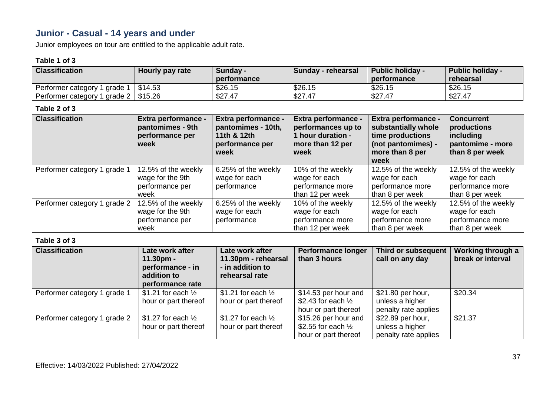## **Junior - Casual - 14 years and under**

Junior employees on tour are entitled to the applicable adult rate.

#### **Table 1 of 3**

| <b>Classification</b>                      | Hourly pay rate | Sunday -<br>performance | Sunday - rehearsal | <b>Public holiday -</b><br>performance | <b>Public holiday -</b><br>rehearsal |
|--------------------------------------------|-----------------|-------------------------|--------------------|----------------------------------------|--------------------------------------|
| Performer category<br>arade 1              | \$14.53         | \$26.15                 | \$26.15            | \$26.15                                | \$26.15                              |
| grade $2   $15.26$<br>Performer category 2 |                 | \$27.47                 | \$27.47            | \$27.47                                | \$27.47                              |

#### **Table 2 of 3**

| <b>Classification</b>        | Extra performance -<br>pantomimes - 9th<br>performance per<br>week | <b>Extra performance -</b><br>pantomimes - 10th,<br>11th & 12th<br>performance per<br>week | <b>Extra performance -</b><br>performances up to<br>1 hour duration -<br>more than 12 per<br>week | Extra performance -<br>substantially whole<br>time productions<br>(not pantomimes) -<br>more than 8 per<br>week | <b>Concurrent</b><br>productions<br>including<br>pantomime - more<br>than 8 per week |
|------------------------------|--------------------------------------------------------------------|--------------------------------------------------------------------------------------------|---------------------------------------------------------------------------------------------------|-----------------------------------------------------------------------------------------------------------------|--------------------------------------------------------------------------------------|
| Performer category 1 grade 1 | 12.5% of the weekly                                                | 6.25% of the weekly                                                                        | 10% of the weekly                                                                                 | 12.5% of the weekly                                                                                             | 12.5% of the weekly                                                                  |
|                              | wage for the 9th                                                   | wage for each                                                                              | wage for each                                                                                     | wage for each                                                                                                   | wage for each                                                                        |
|                              | performance per                                                    | performance                                                                                | performance more                                                                                  | performance more                                                                                                | performance more                                                                     |
|                              | week                                                               |                                                                                            | than 12 per week                                                                                  | than 8 per week                                                                                                 | than 8 per week                                                                      |
| Performer category 1 grade 2 | 12.5% of the weekly                                                | 6.25% of the weekly                                                                        | 10% of the weekly                                                                                 | 12.5% of the weekly                                                                                             | 12.5% of the weekly                                                                  |
|                              | wage for the 9th                                                   | wage for each                                                                              | wage for each                                                                                     | wage for each                                                                                                   | wage for each                                                                        |
|                              | performance per                                                    | performance                                                                                | performance more                                                                                  | performance more                                                                                                | performance more                                                                     |
|                              | week                                                               |                                                                                            | than 12 per week                                                                                  | than 8 per week                                                                                                 | than 8 per week                                                                      |

| <b>Classification</b>        | Late work after<br>$11.30pm -$<br>performance - in<br>addition to<br>performance rate | Late work after<br>11.30pm - rehearsal<br>- in addition to<br>rehearsal rate | <b>Performance longer</b><br>than 3 hours             | Third or subsequent<br>call on any day | Working through a<br>break or interval |
|------------------------------|---------------------------------------------------------------------------------------|------------------------------------------------------------------------------|-------------------------------------------------------|----------------------------------------|----------------------------------------|
| Performer category 1 grade 1 | \$1.21 for each $\frac{1}{2}$<br>hour or part thereof                                 | \$1.21 for each $\frac{1}{2}$<br>hour or part thereof                        | \$14.53 per hour and<br>\$2.43 for each $\frac{1}{2}$ | \$21.80 per hour,<br>unless a higher   | \$20.34                                |
|                              |                                                                                       |                                                                              | hour or part thereof                                  | penalty rate applies                   |                                        |
| Performer category 1 grade 2 | \$1.27 for each $\frac{1}{2}$                                                         | \$1.27 for each $\frac{1}{2}$                                                | \$15.26 per hour and                                  | \$22.89 per hour,                      | \$21.37                                |
|                              | hour or part thereof                                                                  | hour or part thereof                                                         | \$2.55 for each $\frac{1}{2}$                         | unless a higher                        |                                        |
|                              |                                                                                       |                                                                              | hour or part thereof                                  | penalty rate applies                   |                                        |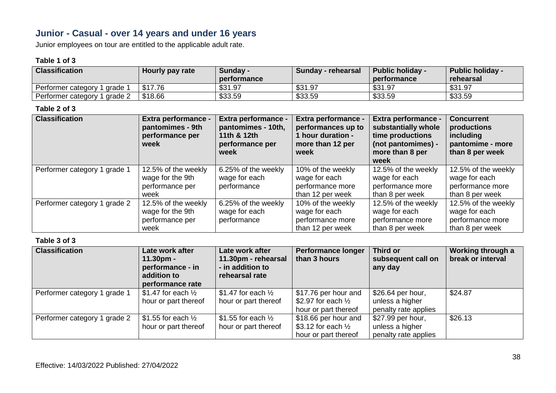## **Junior - Casual - over 14 years and under 16 years**

Junior employees on tour are entitled to the applicable adult rate.

#### **Table 1 of 3**

| <b>Classification</b>         | Hourly pay rate | <b>Sunday -</b><br>performance | Sunday - rehearsal | <b>Public holiday -</b><br>performance | <b>Public holiday -</b><br>rehearsal |
|-------------------------------|-----------------|--------------------------------|--------------------|----------------------------------------|--------------------------------------|
| arade<br>Performer category   | \$17.76         | \$31.97                        | \$31.97            | \$31.97                                | \$31.97                              |
| grade 2<br>Performer category | \$18.66         | \$33.59                        | \$33.59            | \$33.59                                | \$33.59                              |

#### **Table 2 of 3**

| <b>Classification</b>        | <b>Extra performance -</b><br>pantomimes - 9th<br>performance per<br>week | Extra performance -<br>pantomimes - 10th,<br>11th & 12th<br>performance per<br>week | <b>Extra performance -</b><br>performances up to<br>1 hour duration -<br>more than 12 per<br>week | <b>Extra performance -</b><br>substantially whole<br>time productions<br>(not pantomimes) -<br>more than 8 per<br>week | <b>Concurrent</b><br>productions<br>including<br>pantomime - more<br>than 8 per week |
|------------------------------|---------------------------------------------------------------------------|-------------------------------------------------------------------------------------|---------------------------------------------------------------------------------------------------|------------------------------------------------------------------------------------------------------------------------|--------------------------------------------------------------------------------------|
| Performer category 1 grade 1 | 12.5% of the weekly                                                       | 6.25% of the weekly                                                                 | 10% of the weekly                                                                                 | 12.5% of the weekly                                                                                                    | 12.5% of the weekly                                                                  |
|                              | wage for the 9th                                                          | wage for each                                                                       | wage for each                                                                                     | wage for each                                                                                                          | wage for each                                                                        |
|                              | performance per                                                           | performance                                                                         | performance more                                                                                  | performance more                                                                                                       | performance more                                                                     |
|                              | week                                                                      |                                                                                     | than 12 per week                                                                                  | than 8 per week                                                                                                        | than 8 per week                                                                      |
| Performer category 1 grade 2 | 12.5% of the weekly                                                       | 6.25% of the weekly                                                                 | 10% of the weekly                                                                                 | 12.5% of the weekly                                                                                                    | 12.5% of the weekly                                                                  |
|                              | wage for the 9th                                                          | wage for each                                                                       | wage for each                                                                                     | wage for each                                                                                                          | wage for each                                                                        |
|                              | performance per                                                           | performance                                                                         | performance more                                                                                  | performance more                                                                                                       | performance more                                                                     |
|                              | week                                                                      |                                                                                     | than 12 per week                                                                                  | than 8 per week                                                                                                        | than 8 per week                                                                      |

| <b>Classification</b>        | Late work after<br>$11.30pm -$<br>performance - in<br>addition to<br>performance rate | Late work after<br>11.30pm - rehearsal<br>- in addition to<br>rehearsal rate | <b>Performance longer</b><br>than 3 hours             | Third or<br>subsequent call on<br>any day | Working through a<br>break or interval |
|------------------------------|---------------------------------------------------------------------------------------|------------------------------------------------------------------------------|-------------------------------------------------------|-------------------------------------------|----------------------------------------|
| Performer category 1 grade 1 | \$1.47 for each $\frac{1}{2}$<br>hour or part thereof                                 | \$1.47 for each $\frac{1}{2}$<br>hour or part thereof                        | \$17.76 per hour and<br>\$2.97 for each $\frac{1}{2}$ | \$26.64 per hour,<br>unless a higher      | \$24.87                                |
|                              |                                                                                       |                                                                              | hour or part thereof                                  | penalty rate applies                      |                                        |
| Performer category 1 grade 2 | \$1.55 for each $\frac{1}{2}$                                                         | \$1.55 for each $\frac{1}{2}$                                                | \$18.66 per hour and                                  | \$27.99 per hour,                         | \$26.13                                |
|                              | hour or part thereof                                                                  | hour or part thereof                                                         | \$3.12 for each $\frac{1}{2}$                         | unless a higher                           |                                        |
|                              |                                                                                       |                                                                              | hour or part thereof                                  | penalty rate applies                      |                                        |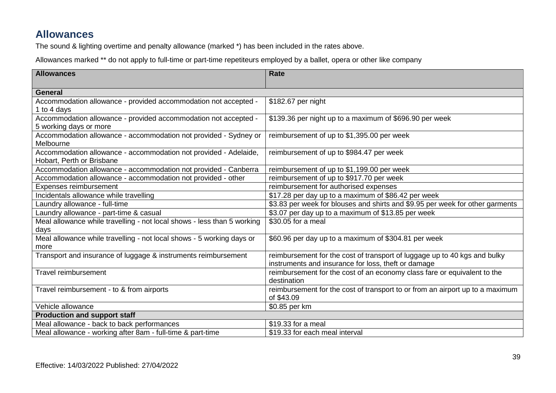## **Allowances**

The sound & lighting overtime and penalty allowance (marked \*) has been included in the rates above.

Allowances marked \*\* do not apply to full-time or part-time repetiteurs employed by a ballet, opera or other like company

| <b>Allowances</b>                                                       | Rate                                                                          |
|-------------------------------------------------------------------------|-------------------------------------------------------------------------------|
| <b>General</b>                                                          |                                                                               |
| Accommodation allowance - provided accommodation not accepted -         | \$182.67 per night                                                            |
| 1 to 4 days                                                             |                                                                               |
| Accommodation allowance - provided accommodation not accepted -         | \$139.36 per night up to a maximum of \$696.90 per week                       |
| 5 working days or more                                                  |                                                                               |
| Accommodation allowance - accommodation not provided - Sydney or        | reimbursement of up to \$1,395.00 per week                                    |
| Melbourne                                                               |                                                                               |
| Accommodation allowance - accommodation not provided - Adelaide,        | reimbursement of up to \$984.47 per week                                      |
| Hobart, Perth or Brisbane                                               |                                                                               |
| Accommodation allowance - accommodation not provided - Canberra         | reimbursement of up to \$1,199.00 per week                                    |
| Accommodation allowance - accommodation not provided - other            | reimbursement of up to \$917.70 per week                                      |
| Expenses reimbursement                                                  | reimbursement for authorised expenses                                         |
| Incidentals allowance while travelling                                  | \$17.28 per day up to a maximum of \$86.42 per week                           |
| Laundry allowance - full-time                                           | \$3.83 per week for blouses and shirts and \$9.95 per week for other garments |
| Laundry allowance - part-time & casual                                  | \$3.07 per day up to a maximum of \$13.85 per week                            |
| Meal allowance while travelling - not local shows - less than 5 working | \$30.05 for a meal                                                            |
| days                                                                    |                                                                               |
| Meal allowance while travelling - not local shows - 5 working days or   | \$60.96 per day up to a maximum of \$304.81 per week                          |
| more                                                                    |                                                                               |
| Transport and insurance of luggage & instruments reimbursement          | reimbursement for the cost of transport of luggage up to 40 kgs and bulky     |
|                                                                         | instruments and insurance for loss, theft or damage                           |
| Travel reimbursement                                                    | reimbursement for the cost of an economy class fare or equivalent to the      |
|                                                                         | destination                                                                   |
| Travel reimbursement - to & from airports                               | reimbursement for the cost of transport to or from an airport up to a maximum |
|                                                                         | of \$43.09                                                                    |
| Vehicle allowance                                                       | \$0.85 per km                                                                 |
| <b>Production and support staff</b>                                     |                                                                               |
| Meal allowance - back to back performances                              | \$19.33 for a meal                                                            |
| Meal allowance - working after 8am - full-time & part-time              | \$19.33 for each meal interval                                                |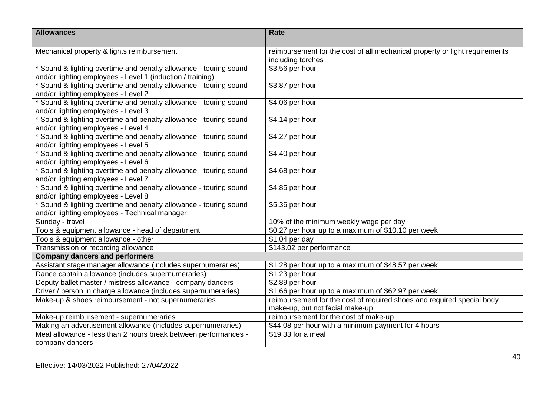| <b>Allowances</b>                                                 | Rate                                                                        |
|-------------------------------------------------------------------|-----------------------------------------------------------------------------|
| Mechanical property & lights reimbursement                        | reimbursement for the cost of all mechanical property or light requirements |
|                                                                   | including torches                                                           |
| * Sound & lighting overtime and penalty allowance - touring sound | \$3.56 per hour                                                             |
| and/or lighting employees - Level 1 (induction / training)        |                                                                             |
| * Sound & lighting overtime and penalty allowance - touring sound | \$3.87 per hour                                                             |
| and/or lighting employees - Level 2                               |                                                                             |
| * Sound & lighting overtime and penalty allowance - touring sound | \$4.06 per hour                                                             |
| and/or lighting employees - Level 3                               |                                                                             |
| * Sound & lighting overtime and penalty allowance - touring sound | \$4.14 per hour                                                             |
| and/or lighting employees - Level 4                               |                                                                             |
| * Sound & lighting overtime and penalty allowance - touring sound | \$4.27 per hour                                                             |
| and/or lighting employees - Level 5                               |                                                                             |
| * Sound & lighting overtime and penalty allowance - touring sound | \$4.40 per hour                                                             |
| and/or lighting employees - Level 6                               |                                                                             |
| * Sound & lighting overtime and penalty allowance - touring sound | \$4.68 per hour                                                             |
| and/or lighting employees - Level 7                               |                                                                             |
| * Sound & lighting overtime and penalty allowance - touring sound | \$4.85 per hour                                                             |
| and/or lighting employees - Level 8                               |                                                                             |
| * Sound & lighting overtime and penalty allowance - touring sound | $\overline{$}5.36$ per hour                                                 |
| and/or lighting employees - Technical manager<br>Sunday - travel  | 10% of the minimum weekly wage per day                                      |
|                                                                   |                                                                             |
| Tools & equipment allowance - head of department                  | \$0.27 per hour up to a maximum of \$10.10 per week                         |
| Tools & equipment allowance - other                               | \$1.04 per day                                                              |
| Transmission or recording allowance                               | \$143.02 per performance                                                    |
| <b>Company dancers and performers</b>                             |                                                                             |
| Assistant stage manager allowance (includes supernumeraries)      | \$1.28 per hour up to a maximum of \$48.57 per week                         |
| Dance captain allowance (includes supernumeraries)                | \$1.23 per hour                                                             |
| Deputy ballet master / mistress allowance - company dancers       | \$2.89 per hour                                                             |
| Driver / person in charge allowance (includes supernumeraries)    | \$1.66 per hour up to a maximum of \$62.97 per week                         |
| Make-up & shoes reimbursement - not supernumeraries               | reimbursement for the cost of required shoes and required special body      |
|                                                                   | make-up, but not facial make-up<br>reimbursement for the cost of make-up    |
| Make-up reimbursement - supernumeraries                           |                                                                             |
| Making an advertisement allowance (includes supernumeraries)      | \$44.08 per hour with a minimum payment for 4 hours<br>\$19.33 for a meal   |
| Meal allowance - less than 2 hours break between performances -   |                                                                             |
| company dancers                                                   |                                                                             |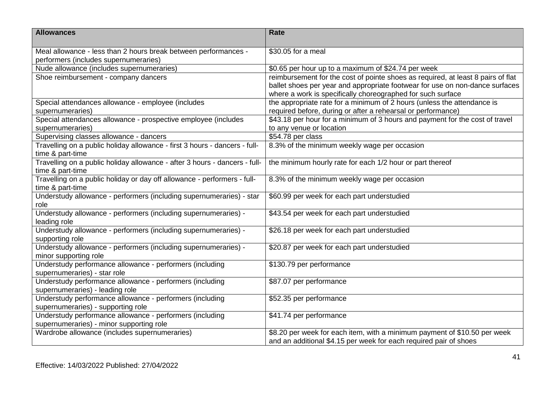| <b>Allowances</b>                                                            | Rate                                                                             |
|------------------------------------------------------------------------------|----------------------------------------------------------------------------------|
| Meal allowance - less than 2 hours break between performances -              | \$30.05 for a meal                                                               |
| performers (includes supernumeraries)                                        |                                                                                  |
| Nude allowance (includes supernumeraries)                                    | \$0.65 per hour up to a maximum of \$24.74 per week                              |
| Shoe reimbursement - company dancers                                         | reimbursement for the cost of pointe shoes as required, at least 8 pairs of flat |
|                                                                              | ballet shoes per year and appropriate footwear for use on non-dance surfaces     |
|                                                                              | where a work is specifically choreographed for such surface                      |
| Special attendances allowance - employee (includes                           | the appropriate rate for a minimum of 2 hours (unless the attendance is          |
| supernumeraries)                                                             | required before, during or after a rehearsal or performance)                     |
| Special attendances allowance - prospective employee (includes               | \$43.18 per hour for a minimum of 3 hours and payment for the cost of travel     |
| supernumeraries)                                                             | to any venue or location                                                         |
| Supervising classes allowance - dancers                                      | \$54.78 per class                                                                |
| Travelling on a public holiday allowance - first 3 hours - dancers - full-   | 8.3% of the minimum weekly wage per occasion                                     |
| time & part-time                                                             |                                                                                  |
| Travelling on a public holiday allowance - after 3 hours - dancers - full-   | the minimum hourly rate for each 1/2 hour or part thereof                        |
| time & part-time                                                             |                                                                                  |
| Travelling on a public holiday or day off allowance - performers - full-     | 8.3% of the minimum weekly wage per occasion                                     |
| time & part-time                                                             |                                                                                  |
| Understudy allowance - performers (including supernumeraries) - star<br>role | \$60.99 per week for each part understudied                                      |
| Understudy allowance - performers (including supernumeraries) -              | \$43.54 per week for each part understudied                                      |
| leading role                                                                 |                                                                                  |
| Understudy allowance - performers (including supernumeraries) -              | \$26.18 per week for each part understudied                                      |
| supporting role                                                              |                                                                                  |
| Understudy allowance - performers (including supernumeraries) -              | \$20.87 per week for each part understudied                                      |
| minor supporting role                                                        |                                                                                  |
| Understudy performance allowance - performers (including                     | \$130.79 per performance                                                         |
| supernumeraries) - star role                                                 |                                                                                  |
| Understudy performance allowance - performers (including                     | \$87.07 per performance                                                          |
| supernumeraries) - leading role                                              |                                                                                  |
| Understudy performance allowance - performers (including                     | \$52.35 per performance                                                          |
| supernumeraries) - supporting role                                           |                                                                                  |
| Understudy performance allowance - performers (including                     | \$41.74 per performance                                                          |
| supernumeraries) - minor supporting role                                     |                                                                                  |
| Wardrobe allowance (includes supernumeraries)                                | \$8.20 per week for each item, with a minimum payment of \$10.50 per week        |
|                                                                              | and an additional \$4.15 per week for each required pair of shoes                |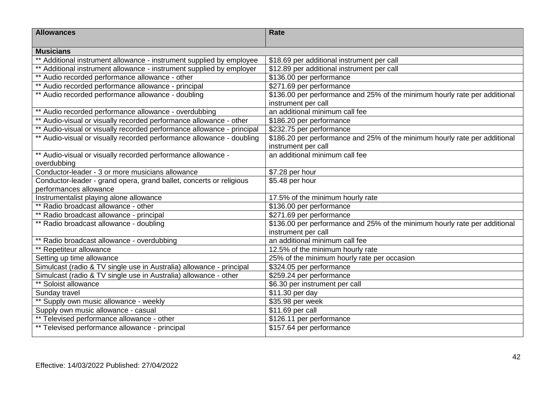| <b>Allowances</b>                                                      | Rate                                                                       |
|------------------------------------------------------------------------|----------------------------------------------------------------------------|
|                                                                        |                                                                            |
| <b>Musicians</b>                                                       |                                                                            |
| ** Additional instrument allowance - instrument supplied by employee   | \$18.69 per additional instrument per call                                 |
| ** Additional instrument allowance - instrument supplied by employer   | \$12.89 per additional instrument per call                                 |
| ** Audio recorded performance allowance - other                        | \$136.00 per performance                                                   |
| ** Audio recorded performance allowance - principal                    | \$271.69 per performance                                                   |
| ** Audio recorded performance allowance - doubling                     | \$136.00 per performance and 25% of the minimum hourly rate per additional |
|                                                                        | instrument per call                                                        |
| ** Audio recorded performance allowance - overdubbing                  | an additional minimum call fee                                             |
| ** Audio-visual or visually recorded performance allowance - other     | \$186.20 per performance                                                   |
| ** Audio-visual or visually recorded performance allowance - principal | \$232.75 per performance                                                   |
| ** Audio-visual or visually recorded performance allowance - doubling  | \$186.20 per performance and 25% of the minimum hourly rate per additional |
|                                                                        | instrument per call                                                        |
| ** Audio-visual or visually recorded performance allowance -           | an additional minimum call fee                                             |
| overdubbing                                                            |                                                                            |
| Conductor-leader - 3 or more musicians allowance                       | \$7.28 per hour                                                            |
| Conductor-leader - grand opera, grand ballet, concerts or religious    | \$5.48 per hour                                                            |
| performances allowance                                                 |                                                                            |
| Instrumentalist playing alone allowance                                | 17.5% of the minimum hourly rate                                           |
| ** Radio broadcast allowance - other                                   | \$136.00 per performance                                                   |
| ** Radio broadcast allowance - principal                               | \$271.69 per performance                                                   |
| ** Radio broadcast allowance - doubling                                | \$136.00 per performance and 25% of the minimum hourly rate per additional |
|                                                                        | instrument per call                                                        |
| ** Radio broadcast allowance - overdubbing                             | an additional minimum call fee                                             |
| ** Repetiteur allowance                                                | 12.5% of the minimum hourly rate                                           |
| Setting up time allowance                                              | 25% of the minimum hourly rate per occasion                                |
| Simulcast (radio & TV single use in Australia) allowance - principal   | \$324.05 per performance                                                   |
| Simulcast (radio & TV single use in Australia) allowance - other       | \$259.24 per performance                                                   |
| Soloist allowance                                                      | \$6.30 per instrument per call                                             |
| Sunday travel                                                          | \$11.30 per day                                                            |
| ** Supply own music allowance - weekly                                 | \$35.98 per week                                                           |
| Supply own music allowance - casual                                    | \$11.69 per call                                                           |
| ** Televised performance allowance - other                             | \$126.11 per performance                                                   |
| ** Televised performance allowance - principal                         | \$157.64 per performance                                                   |
|                                                                        |                                                                            |